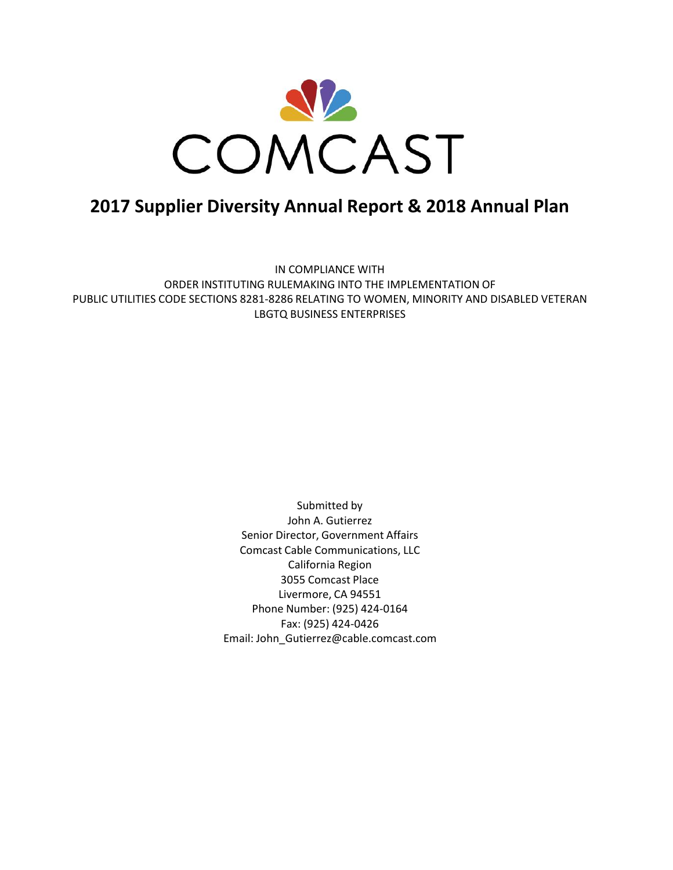

# **2017 Supplier Diversity Annual Report & 2018 Annual Plan**

IN COMPLIANCE WITH ORDER INSTITUTING RULEMAKING INTO THE IMPLEMENTATION OF PUBLIC UTILITIES CODE SECTIONS 8281-8286 RELATING TO WOMEN, MINORITY AND DISABLED VETERAN LBGTQ BUSINESS ENTERPRISES

> Submitted by John A. Gutierrez Senior Director, Government Affairs Comcast Cable Communications, LLC California Region 3055 Comcast Place Livermore, CA 94551 Phone Number: (925) 424-0164 Fax: (925) 424-0426 Email: John\_Gutierrez@cable.comcast.com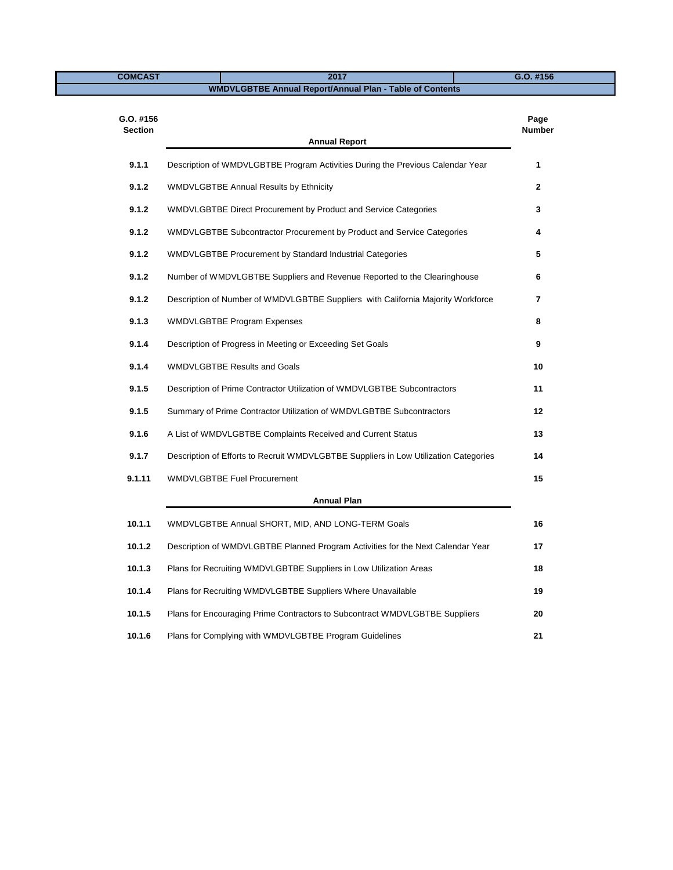**COMCAST 2017 G.O. #156**

# **WMDVLGBTBE Annual Report/Annual Plan - Table of Contents**

| $G.0.$ #156<br><b>Section</b> |                                                                                      | Page<br><b>Number</b> |
|-------------------------------|--------------------------------------------------------------------------------------|-----------------------|
|                               | <b>Annual Report</b>                                                                 |                       |
| 9.1.1                         | Description of WMDVLGBTBE Program Activities During the Previous Calendar Year       | 1                     |
| 9.1.2                         | <b>WMDVLGBTBE Annual Results by Ethnicity</b>                                        | $\mathbf{2}$          |
| 9.1.2                         | WMDVLGBTBE Direct Procurement by Product and Service Categories                      | 3                     |
| 9.1.2                         | WMDVLGBTBE Subcontractor Procurement by Product and Service Categories               | 4                     |
| 9.1.2                         | WMDVLGBTBE Procurement by Standard Industrial Categories                             | 5                     |
| 9.1.2                         | Number of WMDVLGBTBE Suppliers and Revenue Reported to the Clearinghouse             | 6                     |
| 9.1.2                         | Description of Number of WMDVLGBTBE Suppliers with California Majority Workforce     | $\overline{7}$        |
| 9.1.3                         | <b>WMDVLGBTBE Program Expenses</b>                                                   | 8                     |
| 9.1.4                         | Description of Progress in Meeting or Exceeding Set Goals                            | 9                     |
| 9.1.4                         | <b>WMDVLGBTBE Results and Goals</b>                                                  | 10                    |
| 9.1.5                         | Description of Prime Contractor Utilization of WMDVLGBTBE Subcontractors             | 11                    |
| 9.1.5                         | Summary of Prime Contractor Utilization of WMDVLGBTBE Subcontractors                 | 12                    |
| 9.1.6                         | A List of WMDVLGBTBE Complaints Received and Current Status                          | 13                    |
| 9.1.7                         | Description of Efforts to Recruit WMDVLGBTBE Suppliers in Low Utilization Categories | 14                    |
| 9.1.11                        | <b>WMDVLGBTBE Fuel Procurement</b>                                                   | 15                    |
|                               | <b>Annual Plan</b>                                                                   |                       |
| 10.1.1                        | WMDVLGBTBE Annual SHORT, MID, AND LONG-TERM Goals                                    | 16                    |
| 10.1.2                        | Description of WMDVLGBTBE Planned Program Activities for the Next Calendar Year      | 17                    |
| 10.1.3                        | Plans for Recruiting WMDVLGBTBE Suppliers in Low Utilization Areas                   | 18                    |
| 10.1.4                        | Plans for Recruiting WMDVLGBTBE Suppliers Where Unavailable                          | 19                    |
| 10.1.5                        | Plans for Encouraging Prime Contractors to Subcontract WMDVLGBTBE Suppliers          | 20                    |
| 10.1.6                        | Plans for Complying with WMDVLGBTBE Program Guidelines                               | 21                    |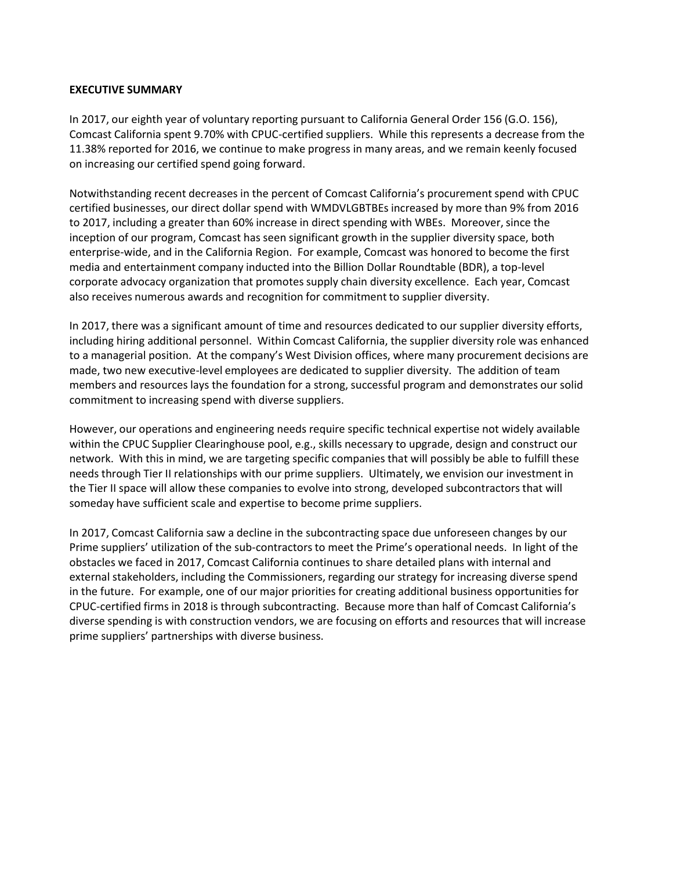# **EXECUTIVE SUMMARY**

In 2017, our eighth year of voluntary reporting pursuant to California General Order 156 (G.O. 156), Comcast California spent 9.70% with CPUC-certified suppliers. While this represents a decrease from the 11.38% reported for 2016, we continue to make progress in many areas, and we remain keenly focused on increasing our certified spend going forward.

Notwithstanding recent decreases in the percent of Comcast California's procurement spend with CPUC certified businesses, our direct dollar spend with WMDVLGBTBEs increased by more than 9% from 2016 to 2017, including a greater than 60% increase in direct spending with WBEs. Moreover, since the inception of our program, Comcast has seen significant growth in the supplier diversity space, both enterprise-wide, and in the California Region. For example, Comcast was honored to become the first media and entertainment company inducted into the Billion Dollar Roundtable (BDR), a top-level corporate advocacy organization that promotes supply chain diversity excellence. Each year, Comcast also receives numerous awards and recognition for commitment to supplier diversity.

In 2017, there was a significant amount of time and resources dedicated to our supplier diversity efforts, including hiring additional personnel. Within Comcast California, the supplier diversity role was enhanced to a managerial position. At the company's West Division offices, where many procurement decisions are made, two new executive-level employees are dedicated to supplier diversity. The addition of team members and resources lays the foundation for a strong, successful program and demonstrates our solid commitment to increasing spend with diverse suppliers.

However, our operations and engineering needs require specific technical expertise not widely available within the CPUC Supplier Clearinghouse pool, e.g., skills necessary to upgrade, design and construct our network. With this in mind, we are targeting specific companies that will possibly be able to fulfill these needs through Tier II relationships with our prime suppliers. Ultimately, we envision our investment in the Tier II space will allow these companies to evolve into strong, developed subcontractors that will someday have sufficient scale and expertise to become prime suppliers.

In 2017, Comcast California saw a decline in the subcontracting space due unforeseen changes by our Prime suppliers' utilization of the sub-contractors to meet the Prime's operational needs. In light of the obstacles we faced in 2017, Comcast California continues to share detailed plans with internal and external stakeholders, including the Commissioners, regarding our strategy for increasing diverse spend in the future. For example, one of our major priorities for creating additional business opportunities for CPUC-certified firms in 2018 is through subcontracting. Because more than half of Comcast California's diverse spending is with construction vendors, we are focusing on efforts and resources that will increase prime suppliers' partnerships with diverse business.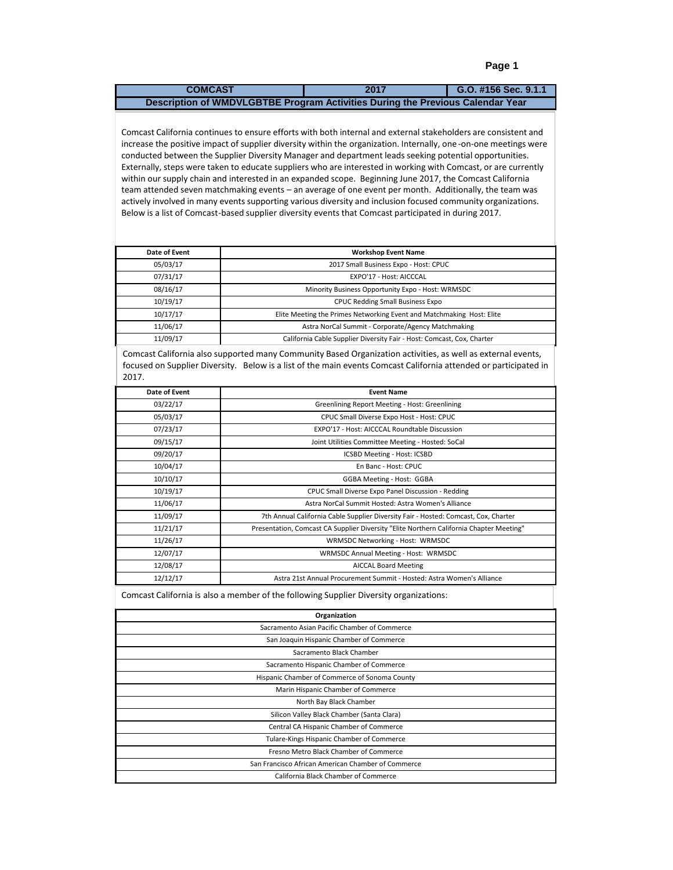| <b>COMCAST</b>                                                                 | 2017 | G.O. #156 Sec. 9.1.1 |
|--------------------------------------------------------------------------------|------|----------------------|
| Description of WMDVLGBTBE Program Activities During the Previous Calendar Year |      |                      |

increase the positive impact of supplier diversity within the organization. Internally, one -on-one meetings were Externally, steps were taken to educate suppliers who are interested in working with Comcast, or are currently Comcast California continues to ensure efforts with both internal and external stakeholders are consistent and conducted between the Supplier Diversity Manager and department leads seeking potential opportunities. within our supply chain and interested in an expanded scope. Beginning June 2017, the Comcast California team attended seven matchmaking events – an average of one event per month. Additionally, the team was actively involved in many events supporting various diversity and inclusion focused community organizations. Below is a list of Comcast-based supplier diversity events that Comcast participated in during 2017.

| Date of Event | <b>Workshop Event Name</b>                                             |  |
|---------------|------------------------------------------------------------------------|--|
| 05/03/17      | 2017 Small Business Expo - Host: CPUC                                  |  |
| 07/31/17      | EXPO'17 - Host: AICCCAL                                                |  |
| 08/16/17      | Minority Business Opportunity Expo - Host: WRMSDC                      |  |
| 10/19/17      | <b>CPUC Redding Small Business Expo</b>                                |  |
| 10/17/17      | Elite Meeting the Primes Networking Event and Matchmaking Host: Elite  |  |
| 11/06/17      | Astra NorCal Summit - Corporate/Agency Matchmaking                     |  |
| 11/09/17      | California Cable Supplier Diversity Fair - Host: Comcast, Cox, Charter |  |

Comcast California also supported many Community Based Organization activities, as well as external events, focused on Supplier Diversity. Below is a list of the main events Comcast California attended or participated in 2017.

| Date of Event | <b>Event Name</b>                                                                       |
|---------------|-----------------------------------------------------------------------------------------|
| 03/22/17      | Greenlining Report Meeting - Host: Greenlining                                          |
| 05/03/17      | CPUC Small Diverse Expo Host - Host: CPUC                                               |
| 07/23/17      | EXPO'17 - Host: AICCCAL Roundtable Discussion                                           |
| 09/15/17      | Joint Utilities Committee Meeting - Hosted: SoCal                                       |
| 09/20/17      | ICSBD Meeting - Host: ICSBD                                                             |
| 10/04/17      | En Banc - Host: CPUC                                                                    |
| 10/10/17      | <b>GGBA Meeting - Host: GGBA</b>                                                        |
| 10/19/17      | CPUC Small Diverse Expo Panel Discussion - Redding                                      |
| 11/06/17      | Astra NorCal Summit Hosted: Astra Women's Alliance                                      |
| 11/09/17      | 7th Annual California Cable Supplier Diversity Fair - Hosted: Comcast, Cox, Charter     |
| 11/21/17      | Presentation, Comcast CA Supplier Diversity "Elite Northern California Chapter Meeting" |
| 11/26/17      | WRMSDC Networking - Host: WRMSDC                                                        |
| 12/07/17      | WRMSDC Annual Meeting - Host: WRMSDC                                                    |
| 12/08/17      | <b>AICCAL Board Meeting</b>                                                             |
| 12/12/17      | Astra 21st Annual Procurement Summit - Hosted: Astra Women's Alliance                   |

Comcast California is also a member of the following Supplier Diversity organizations:

| Organization                                       |
|----------------------------------------------------|
| Sacramento Asian Pacific Chamber of Commerce       |
| San Joaquin Hispanic Chamber of Commerce           |
| Sacramento Black Chamber                           |
| Sacramento Hispanic Chamber of Commerce            |
| Hispanic Chamber of Commerce of Sonoma County      |
| Marin Hispanic Chamber of Commerce                 |
| North Bay Black Chamber                            |
| Silicon Valley Black Chamber (Santa Clara)         |
| Central CA Hispanic Chamber of Commerce            |
| Tulare-Kings Hispanic Chamber of Commerce          |
| Fresno Metro Black Chamber of Commerce             |
| San Francisco African American Chamber of Commerce |
| California Black Chamber of Commerce               |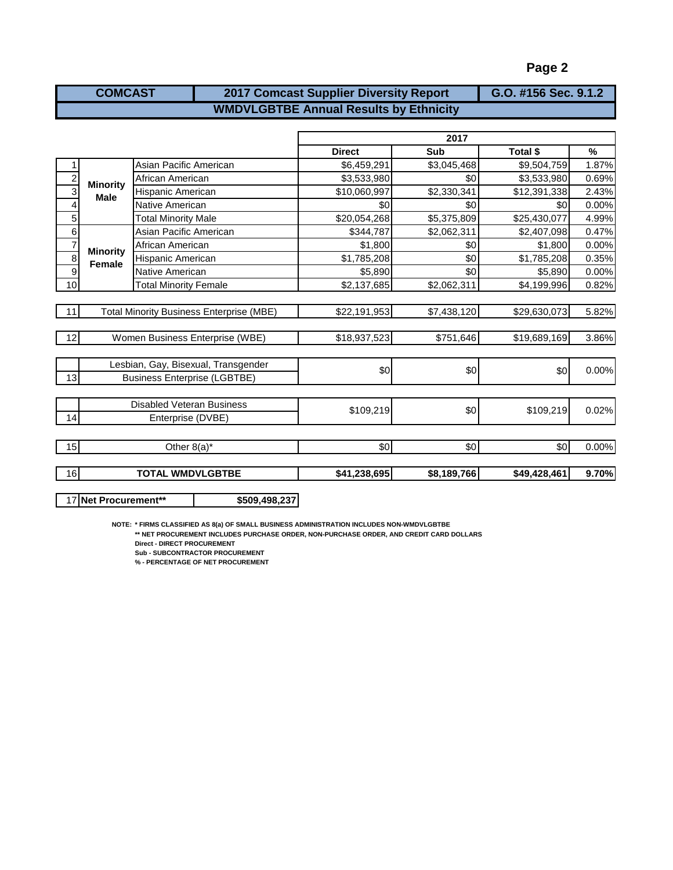| <b>COMCAST</b> | G.O. #156 Sec. 9.1.2                          |  |
|----------------|-----------------------------------------------|--|
|                | <b>WMDVLGBTBE Annual Results by Ethnicity</b> |  |

|                |                 |                                                 |               | 2017        |                 |               |
|----------------|-----------------|-------------------------------------------------|---------------|-------------|-----------------|---------------|
|                |                 |                                                 | <b>Direct</b> | Sub         | <b>Total \$</b> | $\frac{9}{6}$ |
|                |                 | Asian Pacific American                          | \$6,459,291   | \$3,045,468 | \$9,504,759     | 1.87%         |
| $\overline{c}$ | <b>Minority</b> | African American                                | \$3,533,980   | \$0         | \$3,533,980     | 0.69%         |
| 3              | <b>Male</b>     | Hispanic American                               | \$10,060,997  | \$2,330,341 | \$12,391,338    | 2.43%         |
| 4              |                 | Native American                                 | \$0           | \$0         | \$0             | 0.00%         |
| 5              |                 | <b>Total Minority Male</b>                      | \$20,054,268  | \$5,375,809 | \$25,430,077    | 4.99%         |
| $\sigma$       |                 | Asian Pacific American                          | \$344,787     | \$2,062,311 | \$2,407,098     | 0.47%         |
| $\frac{7}{8}$  | <b>Minority</b> | African American                                | \$1,800       | \$0         | \$1,800         | 0.00%         |
|                | <b>Female</b>   | Hispanic American                               | \$1,785,208   | \$0         | \$1,785,208     | 0.35%         |
| $\overline{9}$ |                 | Native American                                 | \$5,890       | \$0         | \$5,890         | 0.00%         |
| 10             |                 | <b>Total Minority Female</b>                    | \$2,137,685   | \$2,062,311 | \$4,199,996     | 0.82%         |
|                |                 |                                                 |               |             |                 |               |
| 11             |                 | <b>Total Minority Business Enterprise (MBE)</b> | \$22,191,953  | \$7,438,120 | \$29,630,073    | 5.82%         |
|                |                 |                                                 |               |             |                 |               |
| 12             |                 | Women Business Enterprise (WBE)                 | \$18,937,523  | \$751,646   | \$19,689,169    | 3.86%         |
|                |                 |                                                 |               |             |                 |               |
|                |                 | Lesbian, Gay, Bisexual, Transgender             | \$0           | \$0         | \$0             | 0.00%         |
| 13             |                 | <b>Business Enterprise (LGBTBE)</b>             |               |             |                 |               |
|                |                 |                                                 |               |             |                 |               |
|                |                 | Disabled Veteran Business                       | \$109,219     | \$0         | \$109,219       | 0.02%         |
| 14             |                 | Enterprise (DVBE)                               |               |             |                 |               |
|                |                 |                                                 |               |             |                 |               |
| 15             |                 | Other $8(a)^*$                                  | \$0           | \$0         | \$0             | 0.00%         |
| 16             |                 | <b>TOTAL WMDVLGBTBE</b>                         | \$41,238,695  | \$8,189,766 | \$49,428,461    | 9.70%         |
|                |                 |                                                 |               |             |                 |               |

17 **Net Procurement\*\* \$509,498,237**

**NOTE: \* FIRMS CLASSIFIED AS 8(a) OF SMALL BUSINESS ADMINISTRATION INCLUDES NON-WMDVLGBTBE**

**\*\* NET PROCUREMENT INCLUDES PURCHASE ORDER, NON-PURCHASE ORDER, AND CREDIT CARD DOLLARS**

**Direct - DIRECT PROCUREMENT**

**Sub - SUBCONTRACTOR PROCUREMENT**

**% - PERCENTAGE OF NET PROCUREMENT**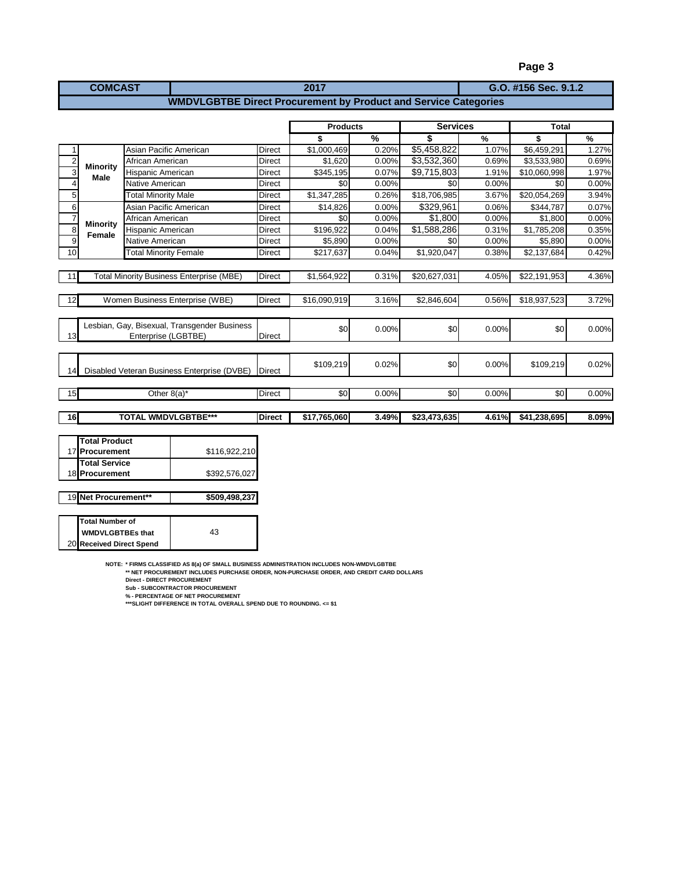| <b>COMCAST</b>                                                         | 2017 | G.O. #156 Sec. 9.1.2 |  |  |  |
|------------------------------------------------------------------------|------|----------------------|--|--|--|
| <b>WMDVLGBTBE Direct Procurement by Product and Service Categories</b> |      |                      |  |  |  |

|                                |                                                                     |               | <b>Products</b>        |               | <b>Services</b> |       | <b>Total</b> |               |
|--------------------------------|---------------------------------------------------------------------|---------------|------------------------|---------------|-----------------|-------|--------------|---------------|
|                                |                                                                     |               | \$                     | $\frac{9}{6}$ | \$              | $\%$  | \$           | $\frac{9}{6}$ |
|                                | Asian Pacific American                                              | Direct        | \$1,000,469            | 0.20%         | \$5,458,822     | 1.07% | \$6,459,291  | 1.27%         |
| 2                              | African American                                                    | <b>Direct</b> | \$1,620                | 0.00%         | \$3,532,360     | 0.69% | \$3,533,980  | 0.69%         |
| <b>Minority</b><br>3<br>Male   | <b>Hispanic American</b>                                            | <b>Direct</b> | \$345,195              | 0.07%         | \$9,715,803     | 1.91% | \$10,060,998 | 1.97%         |
| 4                              | Native American                                                     | Direct        | \$0                    | 0.00%         | \$0             | 0.00% | \$0          | 0.00%         |
| 5 <sub>l</sub>                 | <b>Total Minority Male</b>                                          | <b>Direct</b> | $\overline{1,347,285}$ | 0.26%         | \$18,706,985    | 3.67% | \$20,054,269 | 3.94%         |
| 6                              | Asian Pacific American                                              | <b>Direct</b> | \$14,826               | 0.00%         | \$329,961       | 0.06% | \$344,787    | 0.07%         |
| $\overline{7}$                 | African American                                                    | <b>Direct</b> | \$0                    | 0.00%         | \$1,800         | 0.00% | \$1,800      | 0.00%         |
| <b>Minority</b><br>8<br>Female | <b>Hispanic American</b>                                            | Direct        | \$196,922              | 0.04%         | \$1,588,286     | 0.31% | \$1,785,208  | 0.35%         |
| 9                              | Native American                                                     | <b>Direct</b> | \$5,890                | 0.00%         | \$0             | 0.00% | \$5,890      | 0.00%         |
| 10                             | <b>Total Minority Female</b>                                        | <b>Direct</b> | \$217,637              | 0.04%         | \$1,920,047     | 0.38% | \$2,137,684  | 0.42%         |
|                                |                                                                     |               |                        |               |                 |       |              |               |
| 11                             | <b>Total Minority Business Enterprise (MBE)</b>                     | <b>Direct</b> | \$1,564,922            | 0.31%         | \$20,627,031    | 4.05% | \$22,191,953 | 4.36%         |
| 12                             | Women Business Enterprise (WBE)                                     | <b>Direct</b> | \$16,090,919           | 3.16%         | \$2,846,604     | 0.56% | \$18,937,523 | 3.72%         |
|                                |                                                                     |               |                        |               |                 |       |              |               |
| 13                             | Lesbian, Gay, Bisexual, Transgender Business<br>Enterprise (LGBTBE) | <b>Direct</b> | \$0                    | 0.00%         | \$0             | 0.00% | \$0          | 0.00%         |
|                                |                                                                     |               |                        |               |                 |       |              |               |
| 14                             | Disabled Veteran Business Enterprise (DVBE)                         | <b>Direct</b> | \$109,219              | 0.02%         | \$0             | 0.00% | \$109,219    | 0.02%         |
|                                |                                                                     |               |                        |               |                 |       |              |               |
| 15                             | Other $8(a)^*$                                                      | <b>Direct</b> | \$0                    | 0.00%         | \$0             | 0.00% | \$0          | 0.00%         |
|                                |                                                                     |               |                        |               |                 |       |              |               |

| <b>Total Service</b> |               |
|----------------------|---------------|
| 18 Procurement       | \$392,576,027 |
|                      |               |
| 19 Net Procurement** | \$509,498,237 |

| Total Number of          |    |
|--------------------------|----|
| <b>WMDVLGBTBEs that</b>  | 43 |
| 20 Received Direct Spend |    |

**NOTE: \* FIRMS CLASSIFIED AS 8(a) OF SMALL BUSINESS ADMINISTRATION INCLUDES NON-WMDVLGBTBE \*\* NET PROCUREMENT INCLUDES PURCHASE ORDER, NON-PURCHASE ORDER, AND CREDIT CARD DOLLARS**

Direct - DIRECT PROCUREMENT<br>Sub - SUBCONTRACTOR PROCUREMENT<br>% - PERCENTAGE OF NET PROCUREMENT<br>\*\*\*SLIGHT DIFFERENCE IN TOTAL OVERALL SPEND DUE TO ROUNDING. <= \$1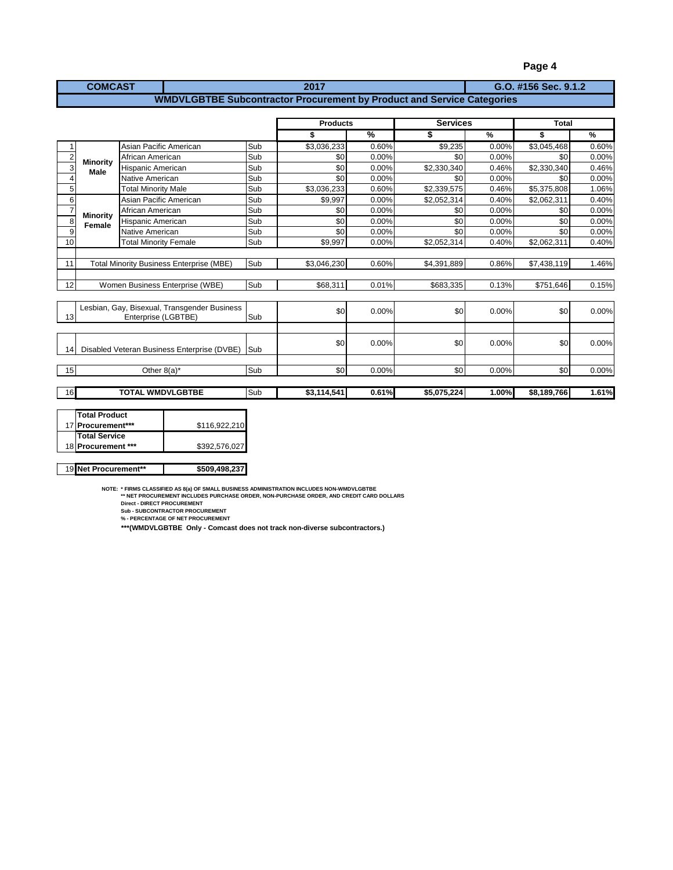| <b>COMCAST</b> | 2017                                                                   | G.O. #156 Sec. 9.1.2 |
|----------------|------------------------------------------------------------------------|----------------------|
|                | WMDVLGBTBE Subcontractor Procurement by Product and Service Categories |                      |

|                |                 |                                                 |     | <b>Products</b> |               | <b>Services</b> |       | Total       |               |
|----------------|-----------------|-------------------------------------------------|-----|-----------------|---------------|-----------------|-------|-------------|---------------|
|                |                 |                                                 |     | \$              | $\frac{9}{6}$ |                 | $\%$  | \$          | $\frac{9}{6}$ |
|                |                 | Asian Pacific American                          | Sub | \$3,036,233     | 0.60%         | \$9,235         | 0.00% | \$3,045,468 | 0.60%         |
| $\overline{2}$ | <b>Minority</b> | African American                                | Sub | \$0             | 0.00%         | \$0             | 0.00% | \$0         | 0.00%         |
| 3              | <b>Male</b>     | <b>Hispanic American</b>                        | Sub | \$0             | 0.00%         | \$2,330,340     | 0.46% | \$2,330,340 | 0.46%         |
| 4              |                 | Native American                                 | Sub | \$0             | 0.00%         | \$0             | 0.00% | \$0         | 0.00%         |
| 5              |                 | <b>Total Minority Male</b>                      | Sub | \$3,036,233     | 0.60%         | \$2,339,575     | 0.46% | \$5,375,808 | 1.06%         |
| 6              |                 | Asian Pacific American                          | Sub | \$9,997         | 0.00%         | \$2,052,314     | 0.40% | \$2,062,311 | 0.40%         |
|                | <b>Minority</b> | African American                                | Sub | \$0             | 0.00%         | \$0             | 0.00% | \$0         | 0.00%         |
| 8              | Female          | Hispanic American                               | Sub | \$0             | 0.00%         | \$0             | 0.00% | \$0         | 0.00%         |
| 9              |                 | Native American                                 | Sub | \$0             | 0.00%         | \$0             | 0.00% | \$0         | 0.00%         |
| 10             |                 | <b>Total Minority Female</b>                    | Sub | \$9,997         | 0.00%         | \$2,052,314     | 0.40% | \$2,062,311 | 0.40%         |
|                |                 |                                                 |     |                 |               |                 |       |             |               |
| 11             |                 | <b>Total Minority Business Enterprise (MBE)</b> | Sub | \$3,046,230     | 0.60%         | \$4,391,889     | 0.86% | \$7,438,119 | 1.46%         |
|                |                 |                                                 |     |                 |               |                 |       |             |               |
| 12             |                 | Women Business Enterprise (WBE)                 | Sub | \$68.311        | 0.01%         | \$683,335       | 0.13% | \$751.646   | 0.15%         |
|                |                 |                                                 |     |                 |               |                 |       |             |               |
|                |                 | Lesbian, Gay, Bisexual, Transgender Business    |     | \$0             | 0.00%         | \$0             | 0.00% | \$0         | 0.00%         |
| 13             |                 | Enterprise (LGBTBE)                             | Sub |                 |               |                 |       |             |               |
|                |                 |                                                 |     |                 |               |                 |       |             |               |
|                |                 |                                                 |     | \$0             | 0.00%         | \$0             | 0.00% | \$0         | 0.00%         |
| 14             |                 | Disabled Veteran Business Enterprise (DVBE)     | Sub |                 |               |                 |       |             |               |
|                |                 |                                                 |     |                 |               |                 |       |             |               |
| 15             |                 | Other $8(a)^*$                                  | Sub | \$0             | 0.00%         | \$0             | 0.00% | \$0         | 0.00%         |
|                |                 |                                                 |     |                 |               |                 |       |             |               |
| 16             |                 | <b>TOTAL WMDVLGBTBE</b>                         | Sub | \$3.114.541     | 0.61%         | \$5,075,224     | 1.00% | \$8,189,766 | 1.61%         |

| Total Product        |               |
|----------------------|---------------|
| 17 Procurement***    | \$116.922.210 |
| <b>Total Service</b> |               |
| 18 Procurement ***   | \$392,576,027 |
|                      |               |
|                      |               |

19 **Net Procurement\*\* \$509,498,237**

NOTE: \* FIRMS CLASSIFIED AS 8(a) OF SMALL BUSINESS ADMINISTRATION INCLUDES NON-WMDVLGBTBE<br>\*\* NET PROCUREMENT INCLUDES PURCHASE ORDER, NON-PURCHASE ORDER, AND CREDIT CARD DOLLARS<br>Direct - DIRECT PROCUREMENT<br>Sub - SUBCONTRAC

**\*\*\*(WMDVLGBTBE Only - Comcast does not track non-diverse subcontractors.)**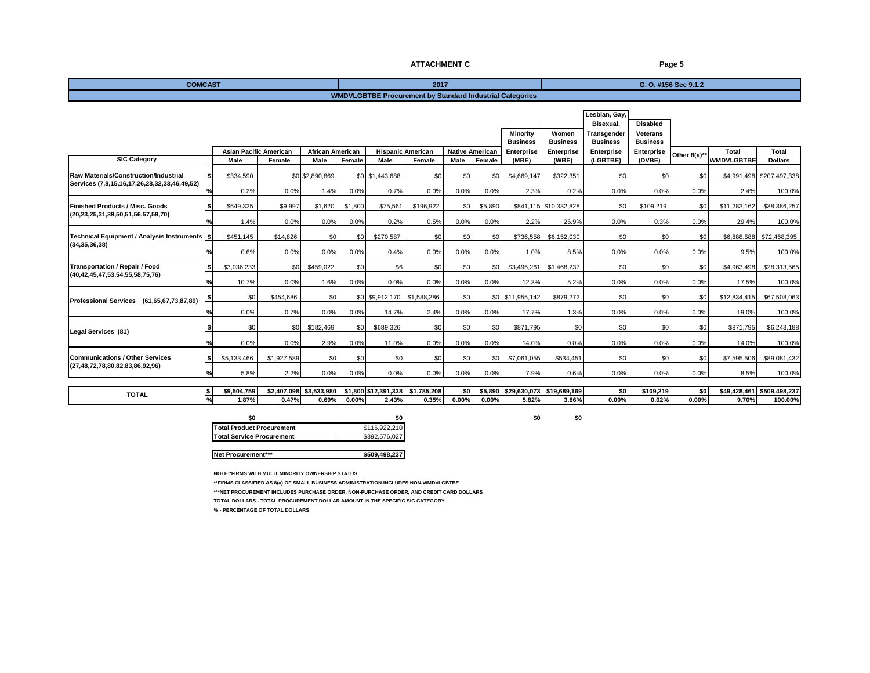#### **ATTACHMENT C Page 5**

| <b>COMCAST</b>                                      |      |                               |             |                         |         |                                  | 2017                                                            |                        |         |                             |                                                            |                            |                                    | G. O. #156 Sec 9.1.2 |                            |                           |
|-----------------------------------------------------|------|-------------------------------|-------------|-------------------------|---------|----------------------------------|-----------------------------------------------------------------|------------------------|---------|-----------------------------|------------------------------------------------------------|----------------------------|------------------------------------|----------------------|----------------------------|---------------------------|
|                                                     |      |                               |             |                         |         |                                  | <b>WMDVLGBTBE Procurement by Standard Industrial Categories</b> |                        |         |                             |                                                            |                            |                                    |                      |                            |                           |
|                                                     |      |                               |             |                         |         |                                  |                                                                 |                        |         |                             |                                                            | Lesbian, Gay,<br>Bisexual, | <b>Disabled</b>                    |                      |                            |                           |
|                                                     |      |                               |             |                         |         |                                  |                                                                 |                        |         | Minority<br><b>Business</b> | Women<br>Transgender<br><b>Business</b><br><b>Business</b> |                            | <b>Veterans</b><br><b>Business</b> |                      |                            |                           |
| <b>SIC Category</b>                                 |      | <b>Asian Pacific American</b> |             | <b>African American</b> |         | <b>Hispanic American</b><br>Male |                                                                 | <b>Native American</b> |         | <b>Enterprise</b>           | Enterprise                                                 | Enterprise                 | Enterprise                         | Other 8(a)**         | Total<br><b>WMDVLGBTBE</b> | <b>Total</b>              |
|                                                     |      | Male                          | Female      | Male                    | Female  |                                  | Female                                                          | Male                   | Female  | (MBE)                       | (WBE)                                                      | (LGBTBE)                   | (DVBE)                             |                      |                            | <b>Dollars</b>            |
| <b>Raw Materials/Construction/Industrial</b>        |      | \$334,590                     |             | \$0 \$2,890,869         |         | \$0 \$1,443,688                  | \$0                                                             | \$0                    | \$0     | \$4,669,147                 | \$322,351                                                  | \$0                        | \$0                                | \$0                  |                            | \$4,991,498 \$207,497,338 |
| Services (7,8,15,16,17,26,28,32,33,46,49,52)        |      | 0.2%                          | 0.0%        | 1.4%                    | 0.0%    | 0.7%                             | 0.0%                                                            | 0.0%                   | 0.0%    | 2.3%                        | 0.2%                                                       | 0.0%                       | 0.0%                               | 0.0%                 | 2.4%                       | 100.0%                    |
| <b>Finished Products / Misc. Goods</b>              |      | \$549,325                     | \$9,997     | \$1,620                 | \$1,800 | \$75,561                         | \$196,922                                                       | \$0                    | \$5,890 |                             | \$841,115 \$10,332,828                                     | \$0                        | \$109,219                          | \$0                  | \$11,283,162               | \$38,386,257              |
| (20,23,25,31,39,50,51,56,57,59,70)                  |      | 1.4%                          | 0.0%        | 0.0%                    | 0.0%    | 0.2%                             | 0.5%                                                            | 0.0%                   | 0.0%    | 2.2%                        | 26.9%                                                      | 0.0%                       | 0.3%                               | 0.0%                 | 29.4%                      | 100.0%                    |
| Technical Equipment / Analysis Instruments   \$     |      | \$451,145                     | \$14,826    | \$0                     | \$0     | \$270,587                        | \$0                                                             | \$0                    | \$0     | \$736,558                   | \$6,152,030                                                | \$0                        | \$0                                | \$0                  |                            | \$6,888,588 \$72,468,395  |
| (34, 35, 36, 38)                                    |      | 0.6%                          | 0.0%        | 0.0%                    | 0.0%    | 0.4%                             | 0.0%                                                            | 0.0%                   | 0.0%    | 1.0%                        | 8.5%                                                       | 0.0%                       | 0.0%                               | 0.0%                 | 9.5%                       | 100.0%                    |
| <b>Transportation / Repair / Food</b>               |      | \$3.036.233                   | \$0         | \$459,022               | \$0     | \$6                              | \$0                                                             | \$0                    | \$0     | \$3,495,261                 | \$1,468,237                                                | \$0                        | \$0                                | \$0                  | \$4,963,498                | \$28,313,565              |
| (40,42,45,47,53,54,55,58,75,76)                     |      | 10.7%                         | 0.0%        | 1.6%                    | 0.0%    | 0.0%                             | 0.0%                                                            | 0.0%                   | 0.0%    | 12.3%                       | 5.2%                                                       | 0.0%                       | 0.0%                               | 0.0%                 | 17.5%                      | 100.0%                    |
| (61,65,67,73,87,89)<br><b>Professional Services</b> |      | \$0                           | \$454,686   | \$0                     |         | \$0 \$9,912,170 \$1,588,286      |                                                                 | \$0                    |         | \$0 \$11,955,142            | \$879,272                                                  | \$0                        | \$0                                | \$0                  | \$12,834,415               | \$67,508,063              |
|                                                     |      | 0.0%                          | 0.7%        | 0.0%                    | 0.0%    | 14.7%                            | 2.4%                                                            | 0.0%                   | 0.0%    | 17.7%                       | 1.3%                                                       | 0.0%                       | 0.0%                               | 0.0%                 | 19.0%                      | 100.0%                    |
| Legal Services (81)                                 |      | \$0                           | \$0         | \$182,469               | \$0     | \$689,326                        | \$0                                                             | \$0                    | \$0     | \$871,795                   | \$0                                                        | \$0                        | \$0                                | \$0                  | \$871,795                  | \$6,243,188               |
|                                                     |      | 0.0%                          | 0.0%        | 2.9%                    | 0.0%    | 11.0%                            | 0.0%                                                            | 0.0%                   | 0.0%    | 14.0%                       | 0.0%                                                       | 0.0%                       | 0.0%                               | 0.0%                 | 14.0%                      | 100.0%                    |
| <b>Communications / Other Services</b>              | -S I | \$5.133.466                   | \$1,927,589 | \$0                     | \$0     | \$0                              | \$0                                                             | \$0                    | \$0     | \$7,061,055                 | \$534,451                                                  | \$0                        | \$0                                | \$0                  | \$7,595,506                | \$89,081,432              |
| (27,48,72,78,80,82,83,86,92,96)                     |      | 5.8%                          | 2.2%        | 0.0%                    | 0.0%    | 0.0%                             | 0.0%                                                            | 0.0%                   | 0.0%    | 7.9%                        | 0.6%                                                       | 0.0%                       | 0.0%                               | 0.0%                 | 8.5%                       | 100.0%                    |

| <b>TOTAL</b> | l c<br>1 D               | 1.759<br> | 2.407.098 | \$3.533.980 | \$1,800 \$12,39 | .391.338 | \$1.785.208 | \$0.  | $\cdots$ | \$29.630.073 | \$19,689,169  | \$0                 | \$109.219 | \$በ      | $\sim$ $\sim$ $\sim$<br>$\overline{101}$<br>30.42<br>.3.428.4" | $1$ \$509.498.2. |
|--------------|--------------------------|-----------|-----------|-------------|-----------------|----------|-------------|-------|----------|--------------|---------------|---------------------|-----------|----------|----------------------------------------------------------------|------------------|
|              | $\overline{\phantom{a}}$ | .87%      | 0.47%     | 0.69%       | $0.00\%$        | 2.43%    | 0.35%       | 0.00% | $0.00\%$ | 5.82%        | 0.005<br>3.80 | $0.00$ <sup>o</sup> | 0.02%     | $0.00\%$ | 1700/<br>,, u                                                  | 100.00%          |

| \$0           |
|---------------|
| \$116,922,210 |
| \$392,576,027 |
|               |
| \$509,498,237 |
|               |

**NOTE:\*FIRMS WITH MULIT MINORITY OWNERSHIP STATUS**

**\*\*FIRMS CLASSIFIED AS 8(a) OF SMALL BUSINESS ADMINISTRATION INCLUDES NON-WMDVLGBTBE**

**\*\*\*NET PROCUREMENT INCLUDES PURCHASE ORDER, NON-PURCHASE ORDER, AND CREDIT CARD DOLLARS**

**TOTAL DOLLARS - TOTAL PROCUREMENT DOLLAR AMOUNT IN THE SPECIFIC SIC CATEGORY** 

**% - PERCENTAGE OF TOTAL DOLLARS**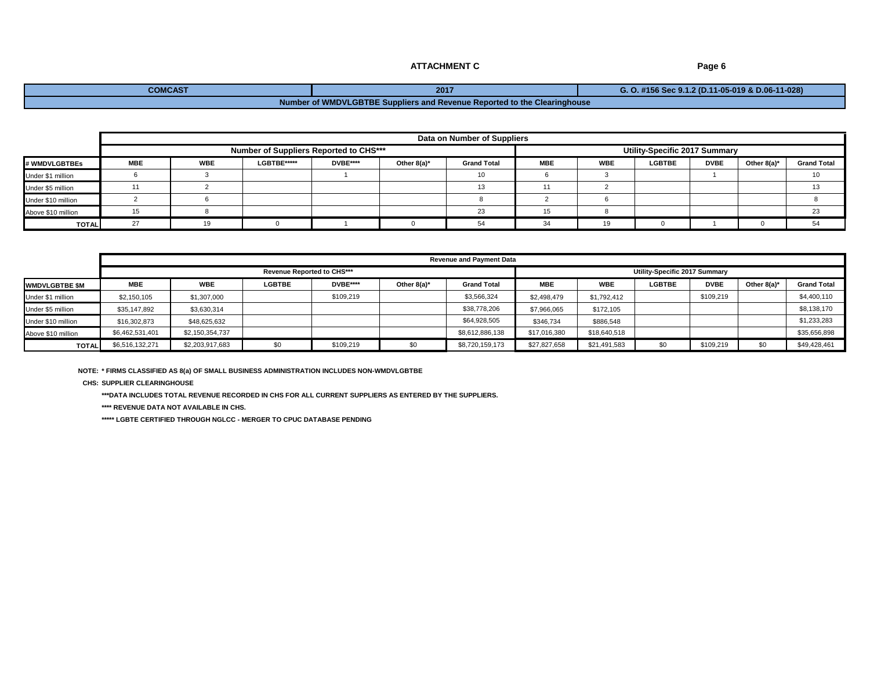### **ATTACHMENT C** Page 6

# **COMCAST 2017 G. O. #156 Sec 9.1.2 (D.11-05-019 & D.06-11-028) Number of WMDVLGBTBE Suppliers and Revenue Reported to the Clearinghouse**

|                      |     | Data on Number of Suppliers                   |             |                 |                |                    |            |            |                               |             |                |                    |  |  |  |  |
|----------------------|-----|-----------------------------------------------|-------------|-----------------|----------------|--------------------|------------|------------|-------------------------------|-------------|----------------|--------------------|--|--|--|--|
|                      |     | <b>Number of Suppliers Reported to CHS***</b> |             |                 |                |                    |            |            | Utility-Specific 2017 Summary |             |                |                    |  |  |  |  |
| <b>∤ WMDVLGBTBEs</b> | MBE | <b>WBE</b>                                    | LGBTBE***** | <b>DVBE****</b> | Other $8(a)^*$ | <b>Grand Total</b> | <b>MBE</b> | <b>WBE</b> | <b>LGBTBE</b>                 | <b>DVBE</b> | Other $8(a)^*$ | <b>Grand Total</b> |  |  |  |  |
| Under \$1 million    |     |                                               |             |                 |                | 10                 |            |            |                               |             |                | 10                 |  |  |  |  |
| Under \$5 million    |     |                                               |             |                 |                | 13                 |            |            |                               |             |                |                    |  |  |  |  |
| Under \$10 million   |     |                                               |             |                 |                |                    |            |            |                               |             |                |                    |  |  |  |  |
| Above \$10 million   |     |                                               |             |                 |                | 23                 |            |            |                               |             |                | 23                 |  |  |  |  |
| <b>TOTAL</b>         | 27  |                                               |             |                 |                | 51                 | 34         | 19         |                               |             |                | 54<br>J.           |  |  |  |  |

|                        |                 | <b>Revenue and Payment Data</b> |               |           |                |                    |              |              |                               |             |                |                    |  |  |  |
|------------------------|-----------------|---------------------------------|---------------|-----------|----------------|--------------------|--------------|--------------|-------------------------------|-------------|----------------|--------------------|--|--|--|
|                        |                 | Revenue Reported to CHS***      |               |           |                |                    |              |              | Utility-Specific 2017 Summary |             |                |                    |  |  |  |
| <b>IWMDVLGBTBE \$M</b> | <b>MBE</b>      | <b>WBE</b>                      | <b>LGBTBE</b> | DVBE****  | Other $8(a)^*$ | <b>Grand Total</b> | <b>MBE</b>   | <b>WBE</b>   | <b>LGBTBE</b>                 | <b>DVBE</b> | Other $8(a)^*$ | <b>Grand Total</b> |  |  |  |
| Under \$1 million      | \$2,150,105     | \$1,307,000                     |               | \$109,219 |                | \$3,566,324        | \$2,498,479  | \$1,792,412  |                               | \$109.219   |                | \$4,400,110        |  |  |  |
| Under \$5 million      | \$35,147,892    | \$3,630,314                     |               |           |                | \$38,778,206       | \$7,966,065  | \$172,105    |                               |             |                | \$8,138,170        |  |  |  |
| Under \$10 million     | \$16,302,873    | \$48,625,632                    |               |           |                | \$64,928,505       | \$346.734    | \$886,548    |                               |             |                | \$1,233,283        |  |  |  |
| Above \$10 million     | \$6,462,531,401 | \$2,150,354,737                 |               |           |                | \$8,612,886,138    | \$17,016,380 | \$18,640,518 |                               |             |                | \$35,656,898       |  |  |  |
| <b>TOTAL</b>           | \$6,516,132,271 | \$2,203,917,683                 | \$0           | \$109,219 |                | \$8,720,159,173    | \$27,827,658 | \$21,491,583 | \$0                           | \$109,219   | \$0            | \$49,428,461       |  |  |  |

**NOTE: \* FIRMS CLASSIFIED AS 8(a) OF SMALL BUSINESS ADMINISTRATION INCLUDES NON-WMDVLGBTBE**

**CHS: SUPPLIER CLEARINGHOUSE**

**\*\*\*DATA INCLUDES TOTAL REVENUE RECORDED IN CHS FOR ALL CURRENT SUPPLIERS AS ENTERED BY THE SUPPLIERS.**

**\*\*\*\* REVENUE DATA NOT AVAILABLE IN CHS.**

**\*\*\*\*\* LGBTE CERTIFIED THROUGH NGLCC - MERGER TO CPUC DATABASE PENDING**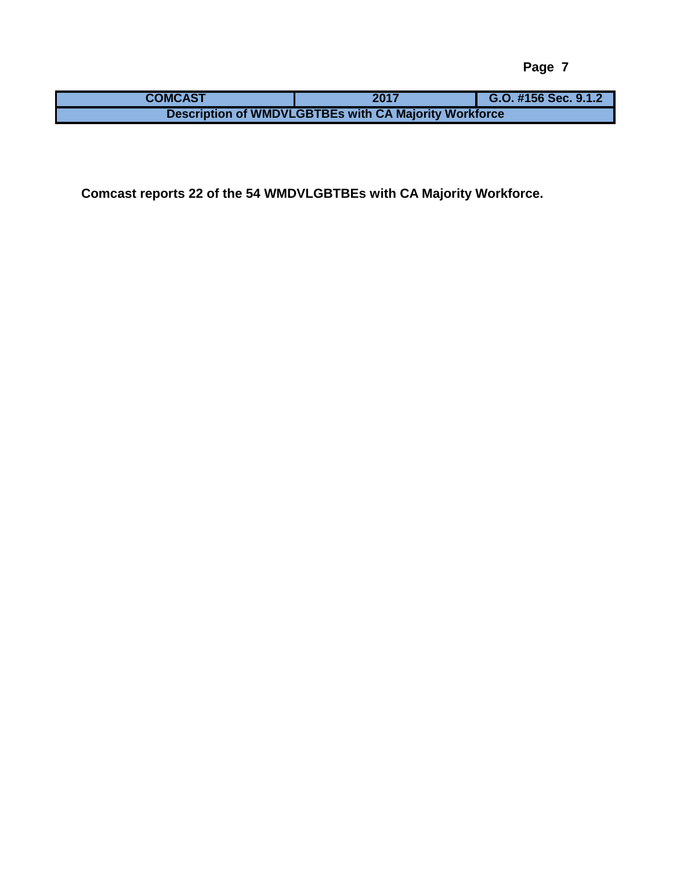| <b>COMCAST</b>                                               | 2017 | G.O. #156 Sec. 9.1.2 |  |  |  |  |  |  |
|--------------------------------------------------------------|------|----------------------|--|--|--|--|--|--|
| <b>Description of WMDVLGBTBEs with CA Majority Workforce</b> |      |                      |  |  |  |  |  |  |

**Comcast reports 22 of the 54 WMDVLGBTBEs with CA Majority Workforce.**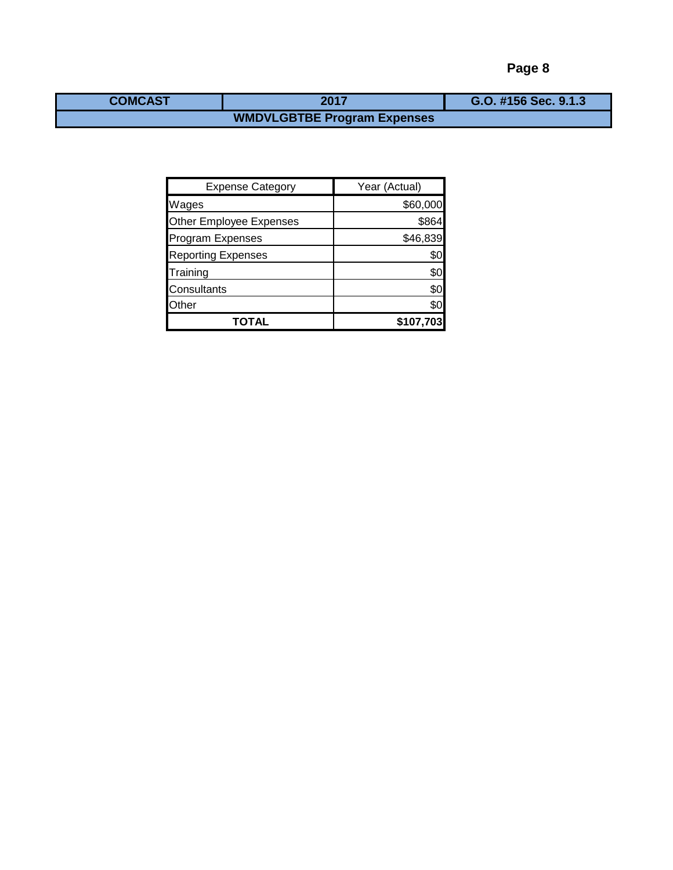| <b>COMCAST</b> | 2017 | G.O. #156 Sec. 9.1.3 |
|----------------|------|----------------------|
|                |      |                      |

| <b>Expense Category</b>        | Year (Actual) |
|--------------------------------|---------------|
| Wages                          | \$60,000      |
| <b>Other Employee Expenses</b> | \$864         |
| <b>Program Expenses</b>        | \$46,839      |
| <b>Reporting Expenses</b>      | \$0           |
| Training                       | \$0           |
| Consultants                    | \$0           |
| Other                          | \$0           |
| TOTAL                          | \$107,703     |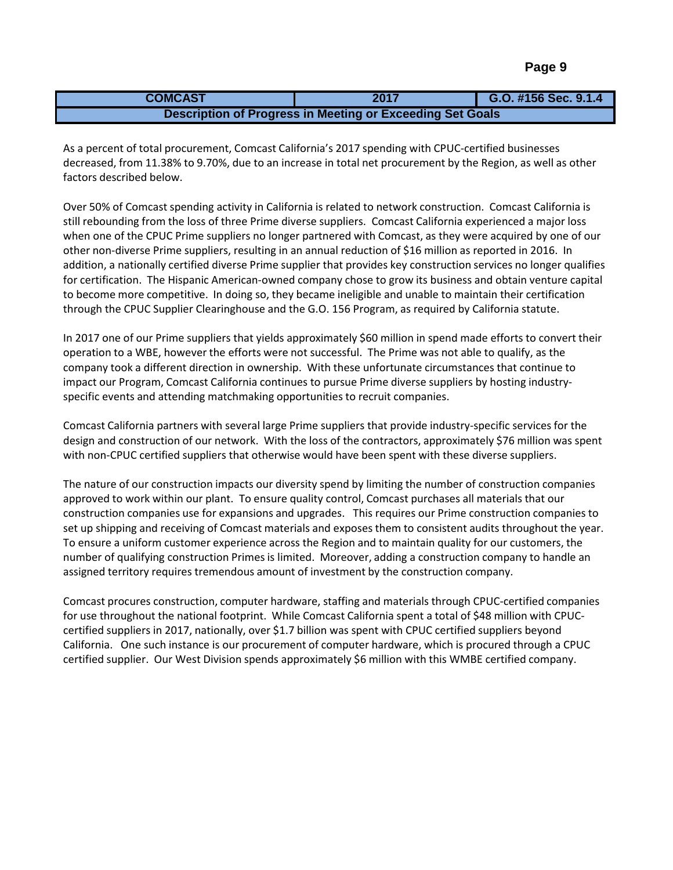| <b>COMCAST</b>                                            | 2017 | G.O. #156 Sec. 9.1.4 |  |  |  |  |  |  |
|-----------------------------------------------------------|------|----------------------|--|--|--|--|--|--|
| Description of Progress in Meeting or Exceeding Set Goals |      |                      |  |  |  |  |  |  |

As a percent of total procurement, Comcast California's 2017 spending with CPUC-certified businesses decreased, from 11.38% to 9.70%, due to an increase in total net procurement by the Region, as well as other factors described below.

Over 50% of Comcast spending activity in California is related to network construction. Comcast California is still rebounding from the loss of three Prime diverse suppliers. Comcast California experienced a major loss when one of the CPUC Prime suppliers no longer partnered with Comcast, as they were acquired by one of our other non-diverse Prime suppliers, resulting in an annual reduction of \$16 million as reported in 2016. In addition, a nationally certified diverse Prime supplier that provides key construction services no longer qualifies for certification. The Hispanic American-owned company chose to grow its business and obtain venture capital to become more competitive. In doing so, they became ineligible and unable to maintain their certification through the CPUC Supplier Clearinghouse and the G.O. 156 Program, as required by California statute.

In 2017 one of our Prime suppliers that yields approximately \$60 million in spend made efforts to convert their operation to a WBE, however the efforts were not successful. The Prime was not able to qualify, as the company took a different direction in ownership. With these unfortunate circumstances that continue to impact our Program, Comcast California continues to pursue Prime diverse suppliers by hosting industryspecific events and attending matchmaking opportunities to recruit companies.

Comcast California partners with several large Prime suppliers that provide industry-specific services for the design and construction of our network. With the loss of the contractors, approximately \$76 million was spent with non-CPUC certified suppliers that otherwise would have been spent with these diverse suppliers.

The nature of our construction impacts our diversity spend by limiting the number of construction companies approved to work within our plant. To ensure quality control, Comcast purchases all materials that our construction companies use for expansions and upgrades. This requires our Prime construction companies to set up shipping and receiving of Comcast materials and exposes them to consistent audits throughout the year. To ensure a uniform customer experience across the Region and to maintain quality for our customers, the number of qualifying construction Primes is limited. Moreover, adding a construction company to handle an assigned territory requires tremendous amount of investment by the construction company.

Comcast procures construction, computer hardware, staffing and materials through CPUC-certified companies for use throughout the national footprint. While Comcast California spent a total of \$48 million with CPUCcertified suppliers in 2017, nationally, over \$1.7 billion was spent with CPUC certified suppliers beyond California. One such instance is our procurement of computer hardware, which is procured through a CPUC certified supplier. Our West Division spends approximately \$6 million with this WMBE certified company.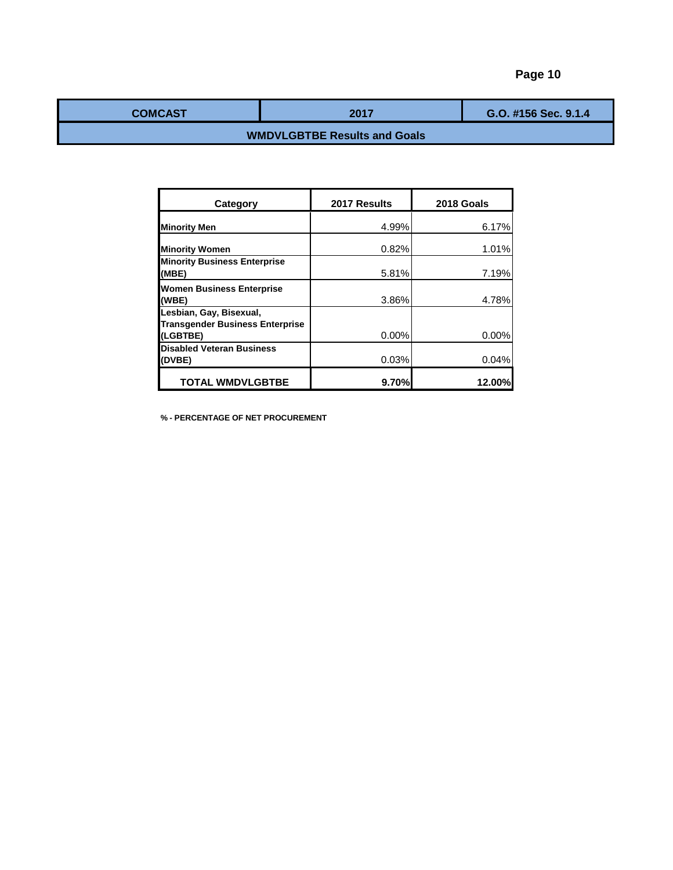| <b>COMCAST</b> | 2017 | G.O. #156 Sec. 9.1.4 |
|----------------|------|----------------------|
|                |      |                      |

# **WMDVLGBTBE Results and Goals**

| Category                                                                      | 2017 Results | 2018 Goals |
|-------------------------------------------------------------------------------|--------------|------------|
| <b>Minority Men</b>                                                           | 4.99%        | 6.17%      |
| <b>Minority Women</b>                                                         | 0.82%        | 1.01%      |
| <b>Minority Business Enterprise</b><br>(MBE)                                  | 5.81%        | 7.19%      |
| <b>Women Business Enterprise</b><br>(WBE)                                     | 3.86%        | 4.78%      |
| Lesbian, Gay, Bisexual,<br><b>Transgender Business Enterprise</b><br>(LGBTBE) | $0.00\%$     | 0.00%      |
| <b>Disabled Veteran Business</b><br>(DVBE)                                    | 0.03%        | 0.04%      |
| <b>TOTAL WMDVLGBTBE</b>                                                       | 9.70%        | 12.00%     |

**% - PERCENTAGE OF NET PROCUREMENT**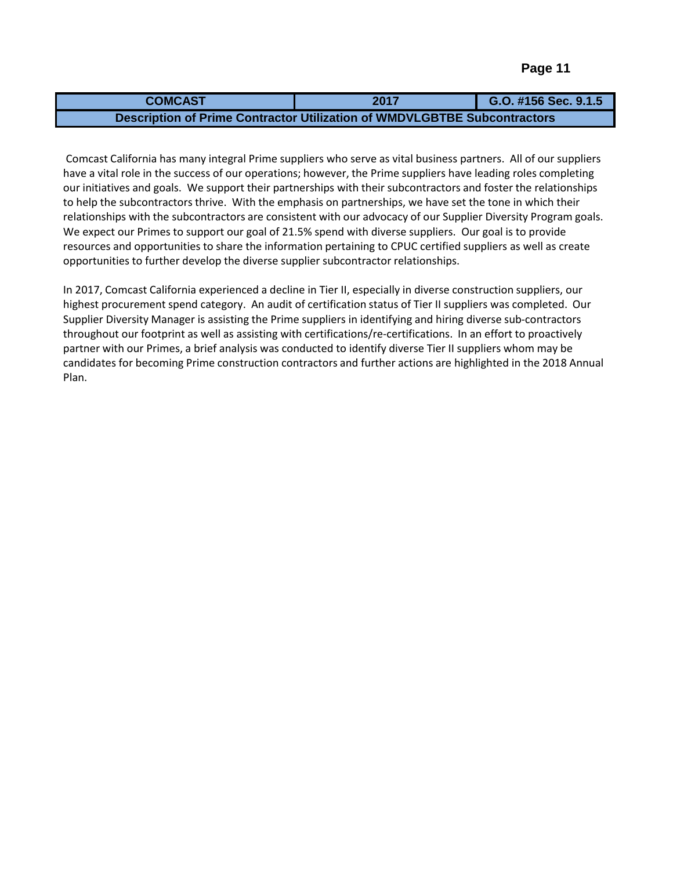| <b>COMCAST</b>                                                           | 2017 | G.O. #156 Sec. 9.1.5 |
|--------------------------------------------------------------------------|------|----------------------|
| Description of Prime Contractor Utilization of WMDVLGBTBE Subcontractors |      |                      |

Comcast California has many integral Prime suppliers who serve as vital business partners. All of our suppliers have a vital role in the success of our operations; however, the Prime suppliers have leading roles completing our initiatives and goals. We support their partnerships with their subcontractors and foster the relationships to help the subcontractors thrive. With the emphasis on partnerships, we have set the tone in which their relationships with the subcontractors are consistent with our advocacy of our Supplier Diversity Program goals. We expect our Primes to support our goal of 21.5% spend with diverse suppliers. Our goal is to provide resources and opportunities to share the information pertaining to CPUC certified suppliers as well as create opportunities to further develop the diverse supplier subcontractor relationships.

In 2017, Comcast California experienced a decline in Tier II, especially in diverse construction suppliers, our highest procurement spend category. An audit of certification status of Tier II suppliers was completed. Our Supplier Diversity Manager is assisting the Prime suppliers in identifying and hiring diverse sub-contractors throughout our footprint as well as assisting with certifications/re-certifications. In an effort to proactively partner with our Primes, a brief analysis was conducted to identify diverse Tier II suppliers whom may be candidates for becoming Prime construction contractors and further actions are highlighted in the 2018 Annual Plan.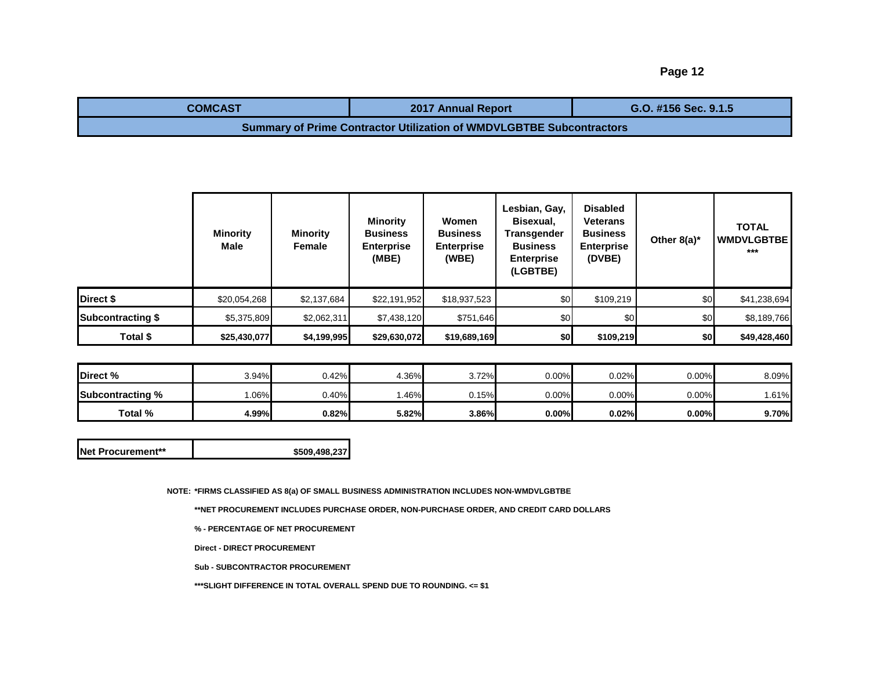| <b>COMCAST</b>                                                              | <b>2017 Annual Report</b> | G.O. #156 Sec. 9.1.5 |  |  |  |  |  |  |
|-----------------------------------------------------------------------------|---------------------------|----------------------|--|--|--|--|--|--|
| <b>Summary of Prime Contractor Utilization of WMDVLGBTBE Subcontractors</b> |                           |                      |  |  |  |  |  |  |

|                          | <b>Minority</b><br>Male | <b>Minority</b><br>Female | <b>Minority</b><br><b>Business</b><br><b>Enterprise</b><br>(MBE) | Women<br><b>Business</b><br><b>Enterprise</b><br>(WBE) | Lesbian, Gay,<br>Bisexual,<br><b>Transgender</b><br><b>Business</b><br><b>Enterprise</b><br>(LGBTBE) | <b>Disabled</b><br>Veterans<br><b>Business</b><br><b>Enterprise</b><br>(DVBE) | Other $8(a)^*$ | <b>TOTAL</b><br><b>WMDVLGBTBE</b><br>*** |
|--------------------------|-------------------------|---------------------------|------------------------------------------------------------------|--------------------------------------------------------|------------------------------------------------------------------------------------------------------|-------------------------------------------------------------------------------|----------------|------------------------------------------|
| Direct \$                | \$20,054,268            | \$2,137,684               | \$22,191,952                                                     | \$18,937,523                                           | \$0                                                                                                  | \$109,219                                                                     | \$0            | \$41,238,694                             |
| <b>Subcontracting \$</b> | \$5,375,809             | \$2,062,311               | \$7,438,120                                                      | \$751,646                                              | \$0                                                                                                  | \$0                                                                           | \$0            | \$8,189,766                              |
| Total \$                 | \$25,430,077            | \$4,199,995               | \$29,630,072                                                     | \$19,689,169                                           | \$0                                                                                                  | \$109,219                                                                     | \$0            | \$49,428,460                             |

| Direct %                | 3.94% | 0.42% | 4.36% | 3.72% | 0.00%    | 0.02%    | 0.00%    | 8.09% |
|-------------------------|-------|-------|-------|-------|----------|----------|----------|-------|
| <b>Subcontracting %</b> | .06%  | 0.40% | .46%  | 0.15% | 0.00%    | $0.00\%$ | 0.00%    | .61%  |
| Total %                 | 4.99% | 0.82% | 5.82% | 3.86% | $0.00\%$ | 0.02%    | $0.00\%$ | 9.70% |

| <b>Net Procurement**</b> | \$509,498,237 |
|--------------------------|---------------|
|--------------------------|---------------|

**NOTE: \*FIRMS CLASSIFIED AS 8(a) OF SMALL BUSINESS ADMINISTRATION INCLUDES NON-WMDVLGBTBE**

**\*\*NET PROCUREMENT INCLUDES PURCHASE ORDER, NON-PURCHASE ORDER, AND CREDIT CARD DOLLARS**

**% - PERCENTAGE OF NET PROCUREMENT**

**Direct - DIRECT PROCUREMENT**

**Sub - SUBCONTRACTOR PROCUREMENT**

**\*\*\*SLIGHT DIFFERENCE IN TOTAL OVERALL SPEND DUE TO ROUNDING. <= \$1**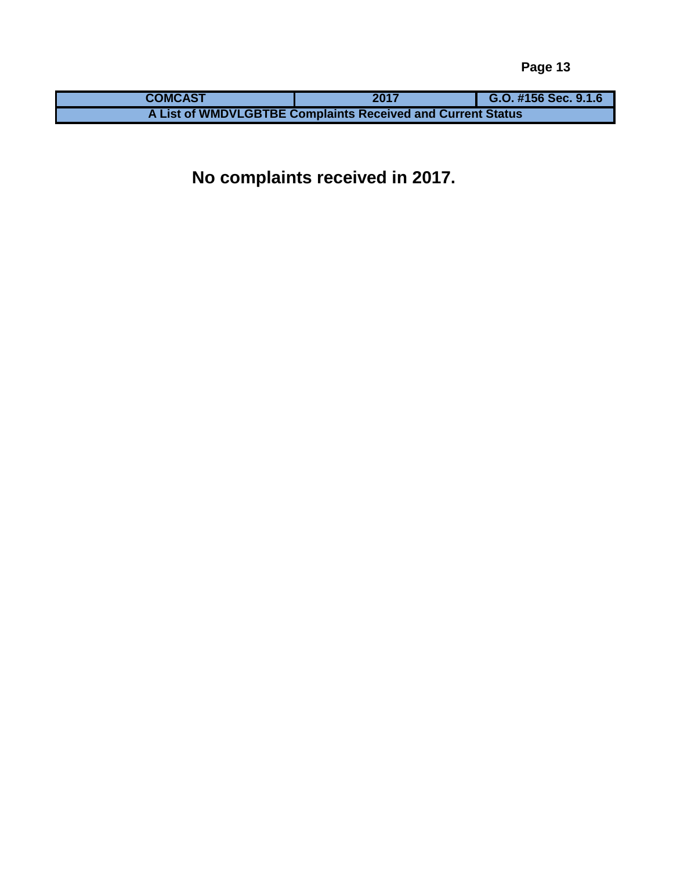| <b>COMCAST</b> | 2017                                                        | G.O. #156 Sec. 9.1.6 |
|----------------|-------------------------------------------------------------|----------------------|
|                | A List of WMDVLGBTBE Complaints Received and Current Status |                      |

**No complaints received in 2017.**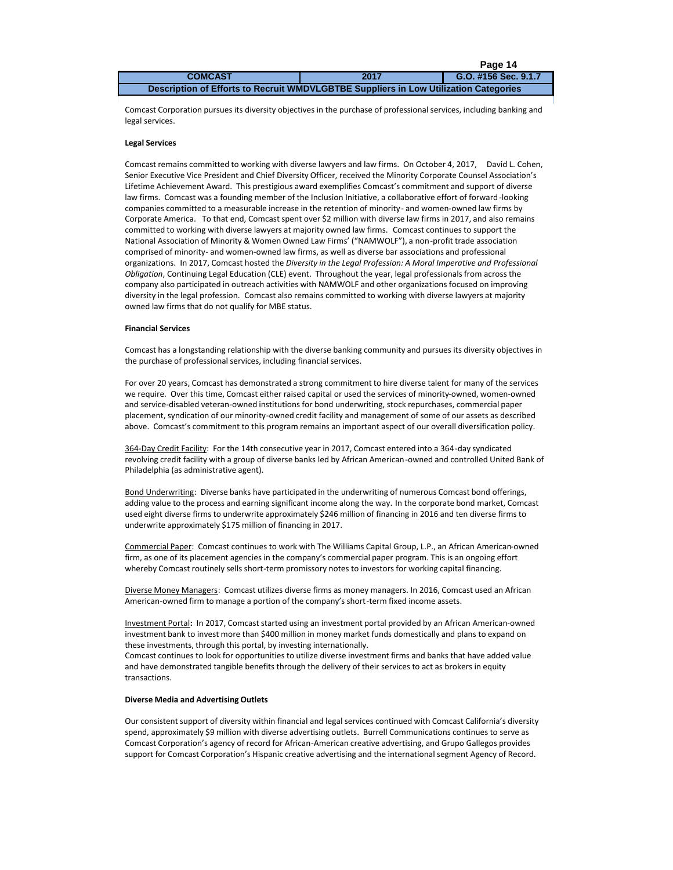|                                                                                      |      | Page 14              |
|--------------------------------------------------------------------------------------|------|----------------------|
| <b>COMCAST</b>                                                                       | 2017 | G.O. #156 Sec. 9.1.7 |
| Description of Efforts to Recruit WMDVLGBTBE Suppliers in Low Utilization Categories |      |                      |

Comcast Corporation pursues its diversity objectives in the purchase of professional services, including banking and legal services.

#### **Legal Services**

Comcast remains committed to working with diverse lawyers and law firms. On October 4, 2017, David L. Cohen, Senior Executive Vice President and Chief Diversity Officer, received the Minority Corporate Counsel Association's Lifetime Achievement Award. This prestigious award exemplifies Comcast's commitment and support of diverse law firms. Comcast was a founding member of the Inclusion Initiative, a collaborative effort of forward-looking companies committed to a measurable increase in the retention of minority- and women-owned law firms by Corporate America. To that end, Comcast spent over \$2 million with diverse law firms in 2017, and also remains committed to working with diverse lawyers at majority owned law firms. Comcast continues to support the National Association of Minority & Women Owned Law Firms' ("NAMWOLF"), a non-profit trade association comprised of minority- and women-owned law firms, as well as diverse bar associations and professional organizations. In 2017, Comcast hosted the *Diversity in the Legal Profession: A Moral Imperative and Professional Obligation*, Continuing Legal Education (CLE) event. Throughout the year, legal professionals from across the company also participated in outreach activities with NAMWOLF and other organizations focused on improving diversity in the legal profession. Comcast also remains committed to working with diverse lawyers at majority owned law firms that do not qualify for MBE status.

#### **Financial Services**

Comcast has a longstanding relationship with the diverse banking community and pursues its diversity objectives in the purchase of professional services, including financial services.

For over 20 years, Comcast has demonstrated a strong commitment to hire diverse talent for many of the services we require. Over this time, Comcast either raised capital or used the services of minority-owned, women-owned and service-disabled veteran-owned institutions for bond underwriting, stock repurchases, commercial paper placement, syndication of our minority-owned credit facility and management of some of our assets as described above. Comcast's commitment to this program remains an important aspect of our overall diversification policy.

364-Day Credit Facility: For the 14th consecutive year in 2017, Comcast entered into a 364-day syndicated revolving credit facility with a group of diverse banks led by African American-owned and controlled United Bank of Philadelphia (as administrative agent).

Bond Underwriting: Diverse banks have participated in the underwriting of numerous Comcast bond offerings, adding value to the process and earning significant income along the way. In the corporate bond market, Comcast used eight diverse firms to underwrite approximately \$246 million of financing in 2016 and ten diverse firms to underwrite approximately \$175 million of financing in 2017.

Commercial Paper: Comcast continues to work with The Williams Capital Group, L.P., an African American-owned firm, as one of its placement agencies in the company's commercial paper program. This is an ongoing effort whereby Comcast routinely sells short-term promissory notes to investors for working capital financing.

Diverse Money Managers: Comcast utilizes diverse firms as money managers. In 2016, Comcast used an African American-owned firm to manage a portion of the company's short-term fixed income assets.

Investment Portal**:** In 2017, Comcast started using an investment portal provided by an African American-owned investment bank to invest more than \$400 million in money market funds domestically and plans to expand on these investments, through this portal, by investing internationally.

Comcast continues to look for opportunities to utilize diverse investment firms and banks that have added value and have demonstrated tangible benefits through the delivery of their services to act as brokers in equity transactions.

### **Diverse Media and Advertising Outlets**

Our consistent support of diversity within financial and legal services continued with Comcast California's diversity spend, approximately \$9 million with diverse advertising outlets. Burrell Communications continues to serve as Comcast Corporation's agency of record for African-American creative advertising, and Grupo Gallegos provides support for Comcast Corporation's Hispanic creative advertising and the international segment Agency of Record.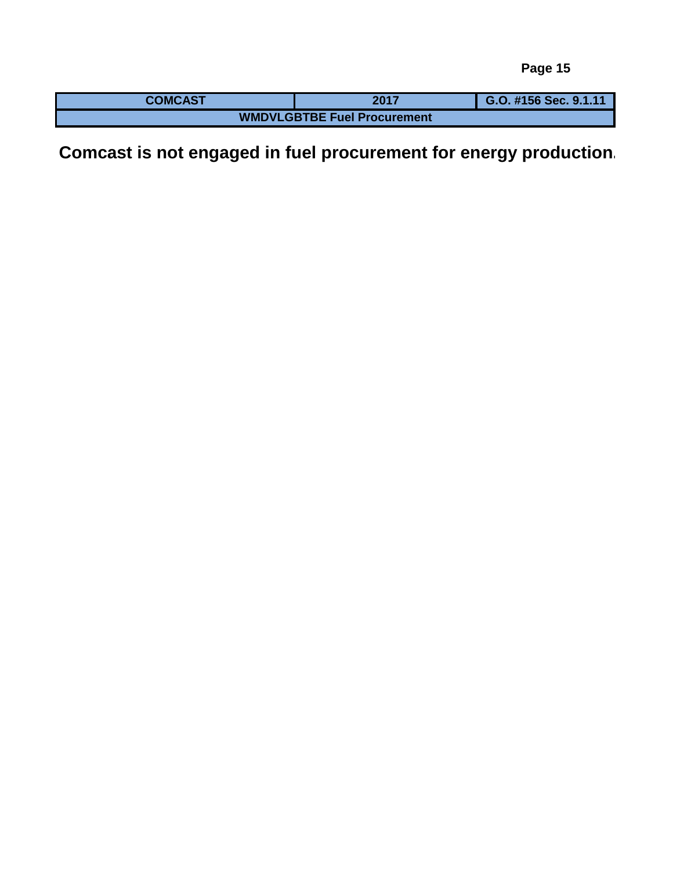| <b>COMCAST</b>                     | 2017 | G.O. #156 Sec. 9.1.11 |  |  |  |  |  |  |  |  |
|------------------------------------|------|-----------------------|--|--|--|--|--|--|--|--|
| <b>WMDVLGBTBE Fuel Procurement</b> |      |                       |  |  |  |  |  |  |  |  |

**Comcast is not engaged in fuel procurement for energy production.**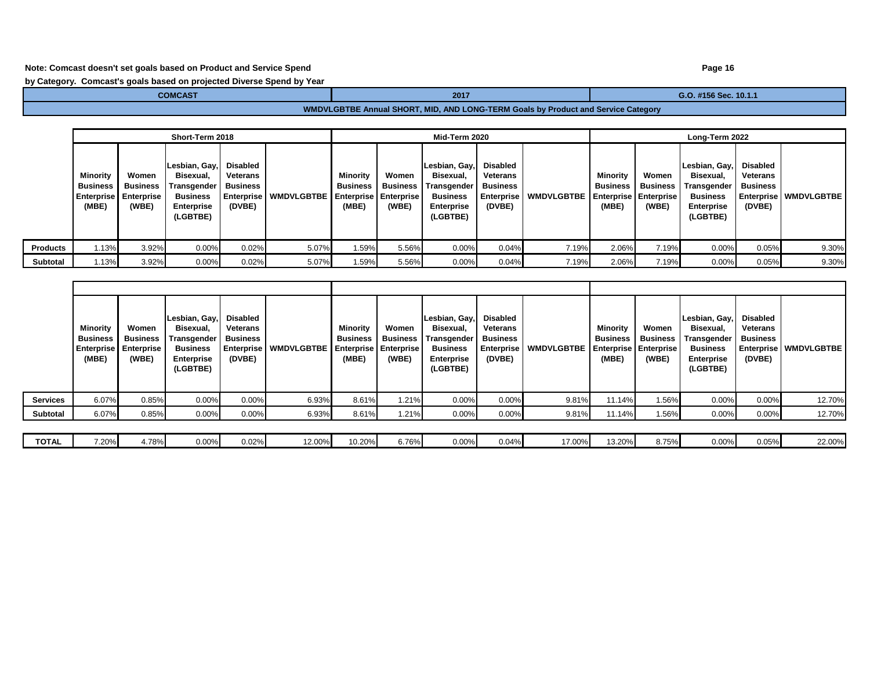## **Note: Comcast doesn't set goals based on Product and Service Spend**

**by Category. Comcast's goals based on projected Diverse Spend by Year**

**COMCAST COMCAST COMCAST COMCAST COMCAST COMCAST COMCAST COMCAST COMCAST COMCAST COMCAST COMPANY** 

# **WMDVLGBTBE Annual SHORT, MID, AND LONG-TERM Goals by Product and Service Category**

|                 |                                                           |                                                 | Short-Term 2018                                                                               |                                                                     |                                  | Mid-Term 2020                        |                            |                                                                                        |                                                                        | Long-Term 2022    |                                      |                                                                   |                                                                                                               |                                |                                |
|-----------------|-----------------------------------------------------------|-------------------------------------------------|-----------------------------------------------------------------------------------------------|---------------------------------------------------------------------|----------------------------------|--------------------------------------|----------------------------|----------------------------------------------------------------------------------------|------------------------------------------------------------------------|-------------------|--------------------------------------|-------------------------------------------------------------------|---------------------------------------------------------------------------------------------------------------|--------------------------------|--------------------------------|
|                 | Minority<br><b>Business</b><br><b>Enterprise</b><br>(MBE) | Women<br><b>Business</b><br>Enterprise<br>(WBE) | Lesbian, Gay,<br>Bisexual,<br>Transgender<br><b>Business</b><br><b>Enterprise</b><br>(LGBTBE) | Disabled<br><b>Veterans</b><br>Business<br>  Enterprise  <br>(DVBE) | WMDVLGBTBE Enterprise Enterprise | Minority<br><b>Business</b><br>(MBE) | Women<br>Business<br>(WBE) | Lesbian, Gay,<br>Bisexual,<br>Transgender<br><b>Business</b><br>Enterprise<br>(LGBTBE) | Disabled<br><b>Veterans</b><br>Business<br><b>Enterprise</b><br>(DVBE) | <b>WMDVLGBTBE</b> | Minority<br><b>Business</b><br>(MBE) | Women<br><b>Business</b><br><b>Enterprise Enterprise</b><br>(WBE) | Lesbian, Gay, Disabled<br>Bisexual,<br><b>Transgender</b><br><b>Business</b><br><b>Enterprise</b><br>(LGBTBE) | Veterans<br>Business<br>(DVBE) | <b>Enterprise   WMDVLGBTBE</b> |
| <b>Products</b> | 1.13%                                                     | 3.92%                                           | 0.00%                                                                                         | 0.02%                                                               | 5.07%                            | 1.59%                                | 5.56%                      | 0.00%                                                                                  | 0.04%                                                                  | 7.19%             | 2.06%                                | 7.19%                                                             | 0.00%                                                                                                         | 0.05%                          | 9.30%                          |
| Subtotal        | 1.13%                                                     | 3.92%                                           | 0.00%                                                                                         | 0.02%                                                               | 5.07%                            | 1.59%                                | 5.56%                      | $0.00\%$                                                                               | 0.04%                                                                  | 7.19%             | 2.06%                                | 7.19%                                                             | 0.00%                                                                                                         | 0.05%                          | 9.30%                          |

|                 | Minority<br><b>Business</b><br><b>Enterprise</b><br>(MBE) | Women<br><b>Business</b><br><b>Enterprise</b><br>(WBE) | Lesbian, Gay,<br>Bisexual,<br>Transgender  <br><b>Business</b><br><b>Enterprise</b><br>(LGBTBE) | Disabled<br>Veterans<br><b>Business</b><br>Enterprise<br>(DVBE) | WMDVLGBTBE Enterprise Enterprise | Minority<br>Business<br>(MBE) | Women<br><b>Business</b><br>(WBE) | Lesbian, Gay,<br>Bisexual,<br>Transgender<br><b>Business</b><br><b>Enterprise</b><br>(LGBTBE) | Disabled<br>Veterans<br><b>Business</b><br><b>Enterprise</b><br>(DVBE) | <b>WMDVLGBTBE</b> | Minority<br><b>Business</b><br><b>Enterprise   Enterprise</b><br>(MBE) | Women<br>Business<br>(WBE) | Lesbian, Gay,<br>Bisexual,<br>Transgender<br><b>Business</b><br><b>Enterprise</b><br>(LGBTBE) | Disabled<br>Veterans<br><b>Business</b><br>(DVBE) | Enterprise   WMDVLGBTBE |
|-----------------|-----------------------------------------------------------|--------------------------------------------------------|-------------------------------------------------------------------------------------------------|-----------------------------------------------------------------|----------------------------------|-------------------------------|-----------------------------------|-----------------------------------------------------------------------------------------------|------------------------------------------------------------------------|-------------------|------------------------------------------------------------------------|----------------------------|-----------------------------------------------------------------------------------------------|---------------------------------------------------|-------------------------|
| <b>Services</b> | 6.07%                                                     | 0.85%                                                  | 0.00%                                                                                           | 0.00%                                                           | 6.93%                            | 8.61%                         | 1.21%                             | 0.00%                                                                                         | 0.00%                                                                  | 9.81%             | 11.14%                                                                 | 1.56%                      | 0.00%                                                                                         | 0.00%                                             | 12.70%                  |
| Subtotal        | 6.07%                                                     | 0.85%                                                  | 0.00%                                                                                           | 0.00%                                                           | 6.93%                            | 8.61%                         | 1.21%                             | 0.00%                                                                                         | 0.00%                                                                  | 9.81%             | 11.14%                                                                 | 1.56%                      | 0.00%                                                                                         | 0.00%                                             | 12.70%                  |
|                 |                                                           |                                                        |                                                                                                 |                                                                 |                                  |                               |                                   |                                                                                               |                                                                        |                   |                                                                        |                            |                                                                                               |                                                   |                         |
| <b>TOTAL</b>    | 7.20%                                                     | 4.78%                                                  | 0.00%                                                                                           | 0.02%                                                           | 12.00%                           | 10.20%                        | 6.76%                             | 0.00%                                                                                         | 0.04%                                                                  | 17.00%            | 13.20%                                                                 | 8.75%                      | 0.00%                                                                                         | 0.05%                                             | 22.00%                  |

## **Page 16**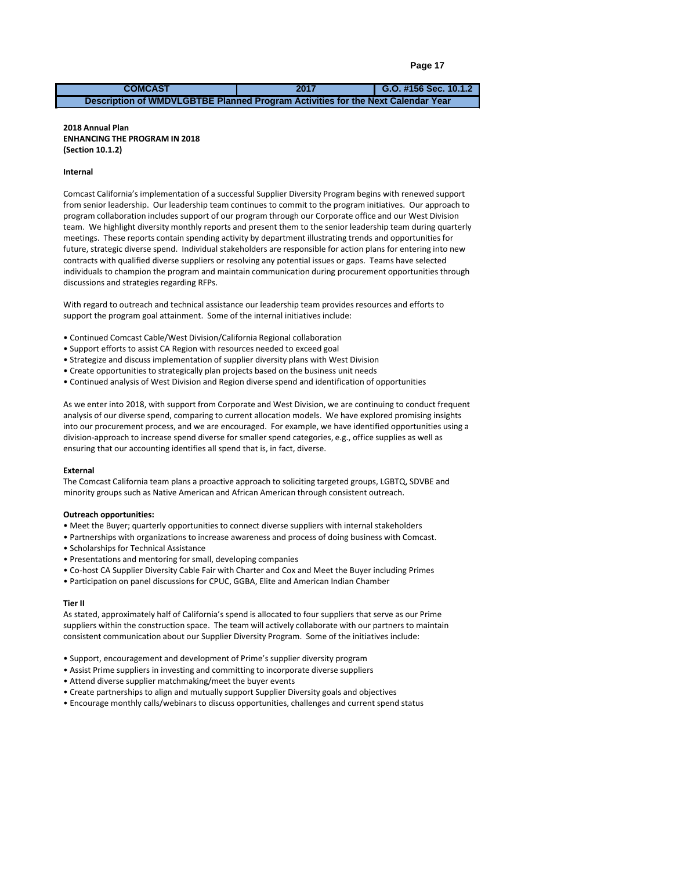```
Page 17
```
**2017 G.O. #156 Sec. 10.1.2 COMCAST Description of WMDVLGBTBE Planned Program Activities for the Next Calendar Year**

#### Narrative describing WMDVLGBTBE internal program activities planned for **ENHANCING THE PROGRAM IN 2018**  the next calendar year. **2018 Annual Plan (Section 10.1.2)**

#### **Internal**

Comcast California's implementation of a successful Supplier Diversity Program begins with renewed support from senior leadership. Our leadership team continues to commit to the program initiatives. Our approach to program collaboration includes support of our program through our Corporate office and our West Division team. We highlight diversity monthly reports and present them to the senior leadership team during quarterly meetings. These reports contain spending activity by department illustrating trends and opportunities for future, strategic diverse spend. Individual stakeholders are responsible for action plans for entering into new contracts with qualified diverse suppliers or resolving any potential issues or gaps. Teams have selected individuals to champion the program and maintain communication during procurement opportunities through discussions and strategies regarding RFPs.

With regard to outreach and technical assistance our leadership team provides resources and efforts to support the program goal attainment. Some of the internal initiatives include:

- Continued Comcast Cable/West Division/California Regional collaboration
- Support efforts to assist CA Region with resources needed to exceed goal
- Strategize and discuss implementation of supplier diversity plans with West Division
- Create opportunities to strategically plan projects based on the business unit needs
- Continued analysis of West Division and Region diverse spend and identification of opportunities

As we enter into 2018, with support from Corporate and West Division, we are continuing to conduct frequent analysis of our diverse spend, comparing to current allocation models. We have explored promising insights into our procurement process, and we are encouraged. For example, we have identified opportunities using a division-approach to increase spend diverse for smaller spend categories, e.g., office supplies as well as ensuring that our accounting identifies all spend that is, in fact, diverse.

#### **External**

The Comcast California team plans a proactive approach to soliciting targeted groups, LGBTQ, SDVBE and minority groups such as Native American and African American through consistent outreach.

#### **Outreach opportunities:**

- Meet the Buyer; quarterly opportunities to connect diverse suppliers with internal stakeholders
- Partnerships with organizations to increase awareness and process of doing business with Comcast.
- Scholarships for Technical Assistance
- Presentations and mentoring for small, developing companies
- Co-host CA Supplier Diversity Cable Fair with Charter and Cox and Meet the Buyer including Primes
- Participation on panel discussions for CPUC, GGBA, Elite and American Indian Chamber

#### **Tier II**

As stated, approximately half of California's spend is allocated to four suppliers that serve as our Prime suppliers within the construction space. The team will actively collaborate with our partners to maintain consistent communication about our Supplier Diversity Program. Some of the initiatives include:

- Support, encouragement and development of Prime's supplier diversity program
- Assist Prime suppliers in investing and committing to incorporate diverse suppliers
- Attend diverse supplier matchmaking/meet the buyer events
- Create partnerships to align and mutually support Supplier Diversity goals and objectives
- Encourage monthly calls/webinars to discuss opportunities, challenges and current spend status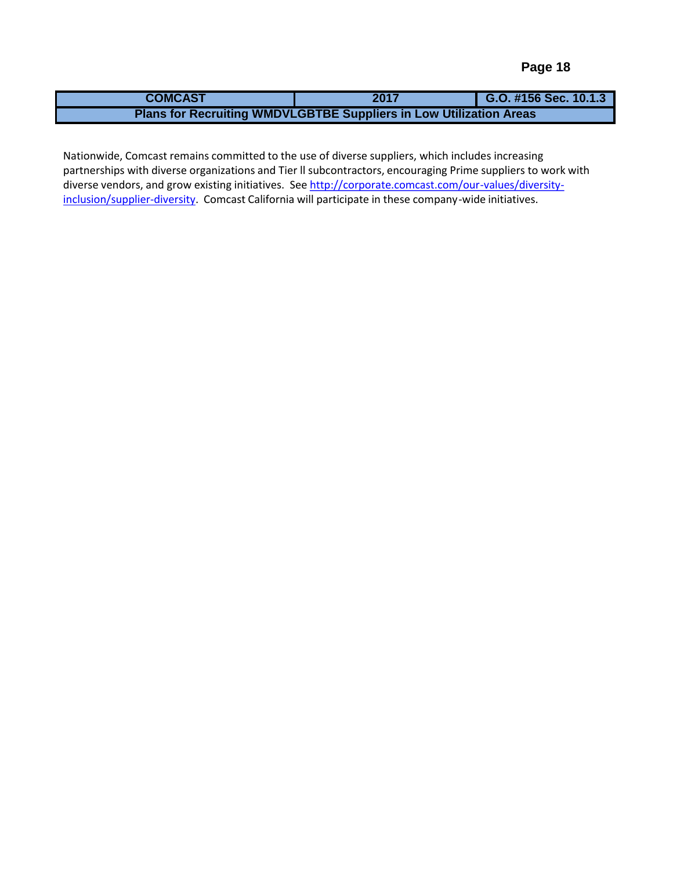| <b>COMCAST</b> | 2017                                                                      | G.O. #156 Sec. 10.1.3 |
|----------------|---------------------------------------------------------------------------|-----------------------|
|                | <b>Plans for Recruiting WMDVLGBTBE Suppliers in Low Utilization Areas</b> |                       |

Nationwide, comeast remains committed to the use of uncrise suppliers, which melddes increasing<br>partnerships with diverse organizations and Tier II subcontractors, encouraging Prime suppliers to work with partneremperman arrenes or gamilations and the modes christenes by encountging in misotappiners to moment<br>diverse vendors, and grow existing initiatives. See <u>http://corporate.comcast.com/our-values/diversity-</u> inclusion/supplier-diversity. Comcast California will participate in these company-wide initiatives. Nationwide, Comcast remains committed to the use of diverse suppliers, which includes increasing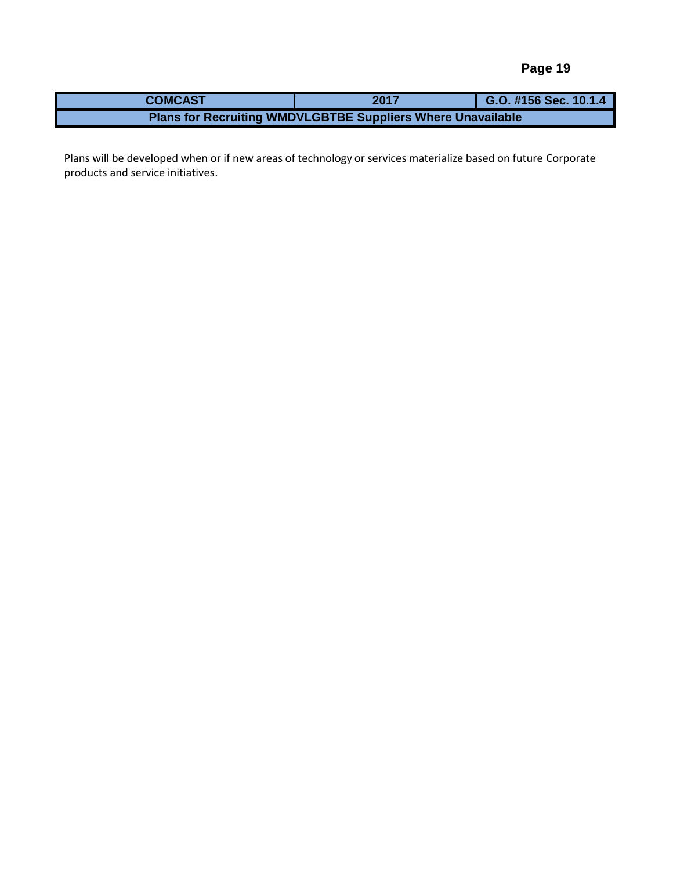| <b>COMCAST</b>                                                     | 2017 | G.O. #156 Sec. 10.1.4 |  |  |  |  |  |  |  |  |  |
|--------------------------------------------------------------------|------|-----------------------|--|--|--|--|--|--|--|--|--|
| <b>Plans for Recruiting WMDVLGBTBE Suppliers Where Unavailable</b> |      |                       |  |  |  |  |  |  |  |  |  |

Plans will be developed when or if new areas of technology or services materialize based on future Corporate  $\mathbf{c}$  which initializes. products and service initiatives.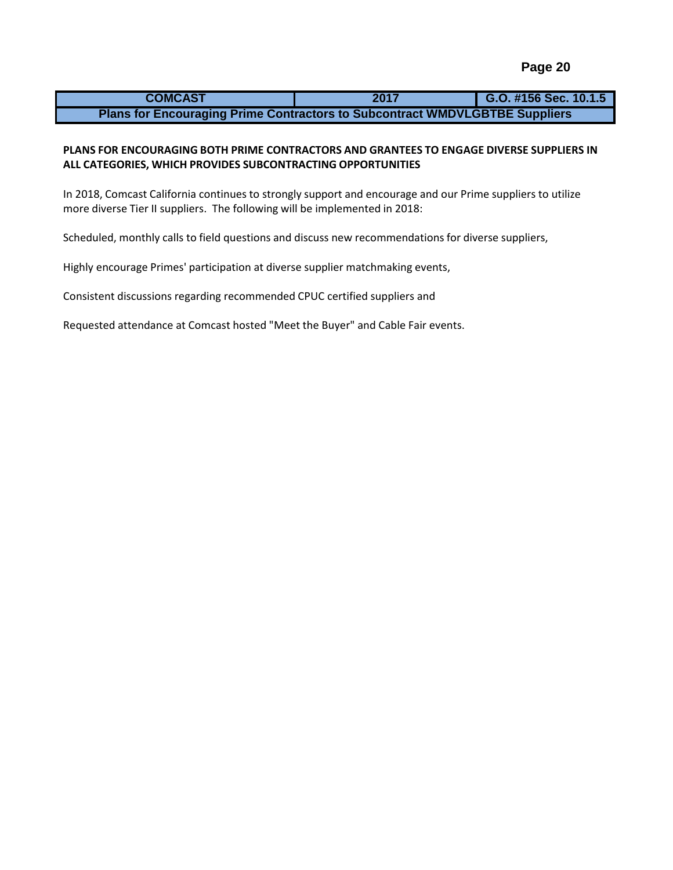| <b>COMCAST</b>                                                                     | 2017 | G.O. #156 Sec. 10.1.5 |  |  |  |  |
|------------------------------------------------------------------------------------|------|-----------------------|--|--|--|--|
| <b>Plans for Encouraging Prime Contractors to Subcontract WMDVLGBTBE Suppliers</b> |      |                       |  |  |  |  |

# **PLANS FOR ENCOURAGING BOTH PRIME CONTRACTORS AND GRANTEES TO ENGAGE DIVERSE SUPPLIERS IN ALL CATEGORIES, WHICH PROVIDES SUBCONTRACTING OPPORTUNITIES**

In 2018, Comcast California continues to strongly support and encourage and our Prime suppliers to utilize more diverse Tier II suppliers. The following will be implemented in 2018:

Scheduled, monthly calls to field questions and discuss new recommendations for diverse suppliers,

Highly encourage Primes' participation at diverse supplier matchmaking events,

Consistent discussions regarding recommended CPUC certified suppliers and

Requested attendance at Comcast hosted "Meet the Buyer" and Cable Fair events.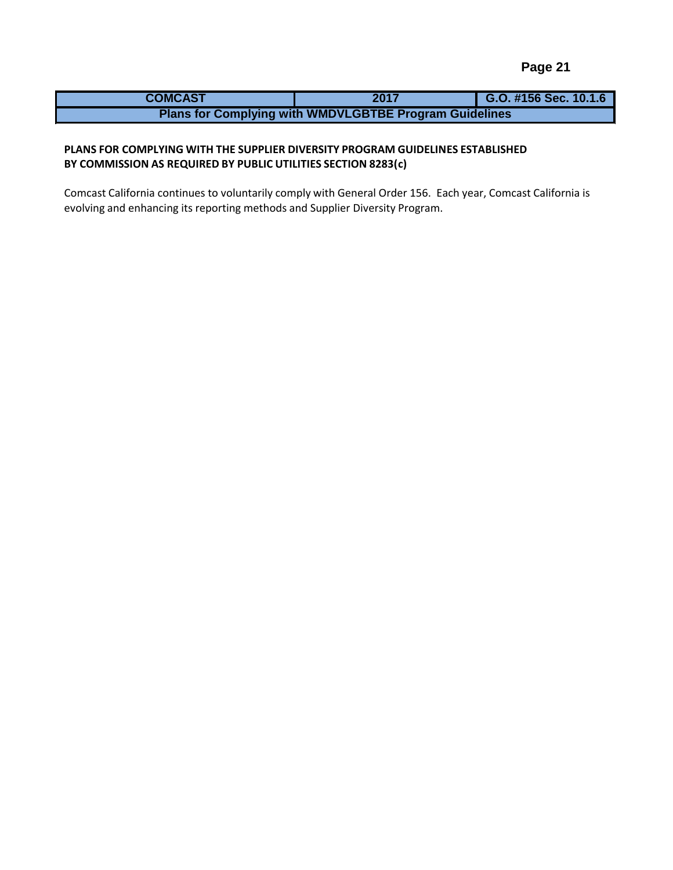| <b>COMCAST</b> | 2017                                                          | G.O. #156 Sec. 10.1.6 |  |  |  |  |
|----------------|---------------------------------------------------------------|-----------------------|--|--|--|--|
|                | <b>Plans for Complying with WMDVLGBTBE Program Guidelines</b> |                       |  |  |  |  |

# BY COMMISSION AS REQUIRED BY PUBLIC UTILITIES SECTION 8283(c) **PLANS FOR COMPLYING WITH THE SUPPLIER DIVERSITY PROGRAM GUIDELINES ESTABLISHED**

Comcast California continues to voluntarily comply with General Order 156. Each year, Comcast California is evolving and enhancing its reporting methods and Supplier Diversity Program.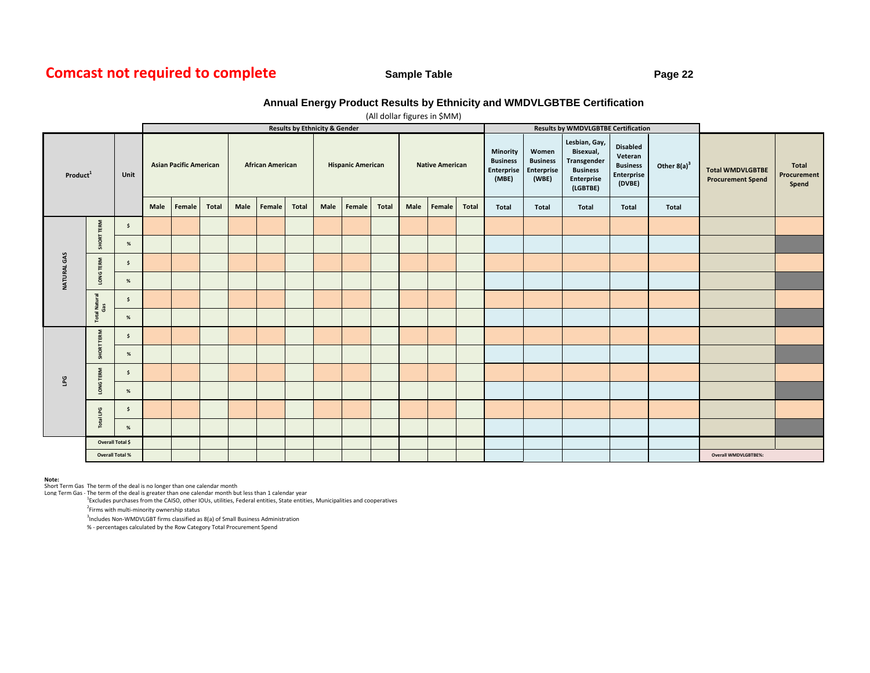# **Comcast not required to complete**

## **Sample Table Page 22**

## **Annual Energy Product Results by Ethnicity and WMDVLGBTBE Certification**

|                        |                      |                     |                               | luman ugures in Aman<br><b>Results by Ethnicity &amp; Gender</b> |              |                         |        |              |                          |        |       |                        |        |              |                                                    |                                                 | <b>Results by WMDVLGBTBE Certification</b>                                             |                                                                       |                |                                                     |                                      |
|------------------------|----------------------|---------------------|-------------------------------|------------------------------------------------------------------|--------------|-------------------------|--------|--------------|--------------------------|--------|-------|------------------------|--------|--------------|----------------------------------------------------|-------------------------------------------------|----------------------------------------------------------------------------------------|-----------------------------------------------------------------------|----------------|-----------------------------------------------------|--------------------------------------|
| Product <sup>1</sup>   |                      | Unit                | <b>Asian Pacific American</b> |                                                                  |              | <b>African American</b> |        |              | <b>Hispanic American</b> |        |       | <b>Native American</b> |        |              | Minority<br><b>Business</b><br>Enterprise<br>(MBE) | Women<br><b>Business</b><br>Enterprise<br>(WBE) | Lesbian, Gay,<br>Bisexual,<br>Transgender<br><b>Business</b><br>Enterprise<br>(LGBTBE) | <b>Disabled</b><br>Veteran<br><b>Business</b><br>Enterprise<br>(DVBE) | Other $8(a)^3$ | <b>Total WMDVLGBTBE</b><br><b>Procurement Spend</b> | <b>Total</b><br>Procurement<br>Spend |
|                        |                      |                     | Male                          | Female                                                           | <b>Total</b> | Male                    | Female | <b>Total</b> | Male                     | Female | Total | Male                   | Female | <b>Total</b> | <b>Total</b>                                       | <b>Total</b>                                    | Total                                                                                  | <b>Total</b>                                                          | <b>Total</b>   |                                                     |                                      |
|                        |                      | $\ddot{\mathsf{s}}$ |                               |                                                                  |              |                         |        |              |                          |        |       |                        |        |              |                                                    |                                                 |                                                                                        |                                                                       |                |                                                     |                                      |
|                        | <b>SHORT TERM</b>    | %                   |                               |                                                                  |              |                         |        |              |                          |        |       |                        |        |              |                                                    |                                                 |                                                                                        |                                                                       |                |                                                     |                                      |
|                        | LONG TERM            | \$                  |                               |                                                                  |              |                         |        |              |                          |        |       |                        |        |              |                                                    |                                                 |                                                                                        |                                                                       |                |                                                     |                                      |
| <b>NATURALGAS</b>      |                      | %                   |                               |                                                                  |              |                         |        |              |                          |        |       |                        |        |              |                                                    |                                                 |                                                                                        |                                                                       |                |                                                     |                                      |
|                        | Total Natural<br>Gas | \$                  |                               |                                                                  |              |                         |        |              |                          |        |       |                        |        |              |                                                    |                                                 |                                                                                        |                                                                       |                |                                                     |                                      |
|                        |                      | %                   |                               |                                                                  |              |                         |        |              |                          |        |       |                        |        |              |                                                    |                                                 |                                                                                        |                                                                       |                |                                                     |                                      |
|                        | SHORT TERM           | $\mathsf{s}$        |                               |                                                                  |              |                         |        |              |                          |        |       |                        |        |              |                                                    |                                                 |                                                                                        |                                                                       |                |                                                     |                                      |
|                        |                      | %                   |                               |                                                                  |              |                         |        |              |                          |        |       |                        |        |              |                                                    |                                                 |                                                                                        |                                                                       |                |                                                     |                                      |
| GЧ                     | LONG TERM            | $\ddot{\mathsf{s}}$ |                               |                                                                  |              |                         |        |              |                          |        |       |                        |        |              |                                                    |                                                 |                                                                                        |                                                                       |                |                                                     |                                      |
|                        |                      | %                   |                               |                                                                  |              |                         |        |              |                          |        |       |                        |        |              |                                                    |                                                 |                                                                                        |                                                                       |                |                                                     |                                      |
|                        | Total LPG            | $\ddot{\mathsf{s}}$ |                               |                                                                  |              |                         |        |              |                          |        |       |                        |        |              |                                                    |                                                 |                                                                                        |                                                                       |                |                                                     |                                      |
|                        |                      | %                   |                               |                                                                  |              |                         |        |              |                          |        |       |                        |        |              |                                                    |                                                 |                                                                                        |                                                                       |                |                                                     |                                      |
|                        |                      | Overall Total \$    |                               |                                                                  |              |                         |        |              |                          |        |       |                        |        |              |                                                    |                                                 |                                                                                        |                                                                       |                |                                                     |                                      |
| <b>Overall Total %</b> |                      |                     |                               |                                                                  |              |                         |        |              |                          |        |       |                        |        |              | Overall WMDVLGBTBE%:                               |                                                 |                                                                                        |                                                                       |                |                                                     |                                      |

#### (All dollar figures in \$MM)

#### **Note:**

Short Term Gas The term of the deal is no longer than one calendar month<br>Long Term Gas - The term of the deal is greater than one calendar month but less than 1 calendar year

<sup>1</sup>Excludes purchases from the CAISO, other IOUs, utilities, Federal entities, State entities, Municipalities and cooperatives

<sup>2</sup>Firms with multi-minority ownership status

3 Includes Non-WMDVLGBT firms classified as 8(a) of Small Business Administration

% - percentages calculated by the Row Category Total Procurement Spend